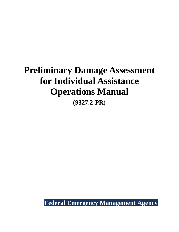# **Preliminary Damage Assessment for Individual Assistance Operations Manual (9327.2-PR)**

<span id="page-0-0"></span>**Federal Emergency Management Agency**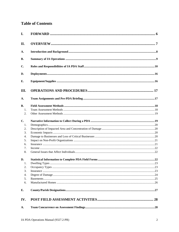# **Table of Contents**

| I.               |  |
|------------------|--|
| II.              |  |
| A.               |  |
| <b>B.</b>        |  |
| C.               |  |
| D.               |  |
| E.               |  |
| Ш.               |  |
| $\mathbf{A}$ .   |  |
| <b>B.</b>        |  |
| 1.               |  |
| 2.               |  |
| C.               |  |
| 1.               |  |
| 2.               |  |
| 3.               |  |
| $\overline{4}$ . |  |
| 5.               |  |
| 6.               |  |
| 7.               |  |
| 8.               |  |
| D.               |  |
| $\overline{1}$ . |  |
| 2.               |  |
| 3.               |  |
| 4.               |  |
| 5.               |  |
| 6.               |  |
| Е.               |  |
| IV.              |  |
| A.               |  |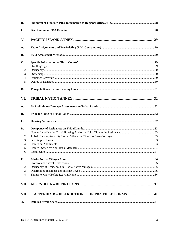| $\mathbf{C}$ .   |                                                         |  |
|------------------|---------------------------------------------------------|--|
| V.               |                                                         |  |
| A.               |                                                         |  |
| <b>B.</b>        |                                                         |  |
| C.               |                                                         |  |
| 1.               |                                                         |  |
| 2.               |                                                         |  |
| 3.               |                                                         |  |
| 4.               |                                                         |  |
| 5.               |                                                         |  |
| D.               |                                                         |  |
| VI.              |                                                         |  |
| A.               |                                                         |  |
| <b>B.</b>        |                                                         |  |
| C.               |                                                         |  |
| D.               |                                                         |  |
| 1.               |                                                         |  |
| 2.               |                                                         |  |
| 3.               |                                                         |  |
| $\overline{4}$ . |                                                         |  |
| 5.               |                                                         |  |
| 6.               |                                                         |  |
| E.               |                                                         |  |
| 1.               |                                                         |  |
| 2.               |                                                         |  |
| 3.               |                                                         |  |
| 4.               |                                                         |  |
| VII.             |                                                         |  |
| VIII.            | <b>APPENDIX B - INSTRUCTIONS FOR PDA FIELD FORMS 41</b> |  |
| A.               |                                                         |  |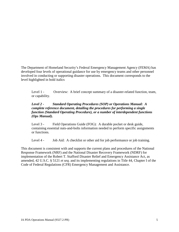The Department of Homeland Security's Federal Emergency Management Agency (FEMA) has developed four levels of operational guidance for use by emergency teams and other personnel involved in conducting or supporting disaster operations. This document corresponds to the level highlighted in bold italics

Level 1 - Overview: A brief concept summary of a disaster-related function, team, or capability.

#### *Level 2 - Standard Operating Procedures (SOP) or Operations Manual: A complete reference document, detailing the procedures for performing a single function (Standard Operating Procedure), or a number of interdependent functions (Ops Manual).*

Level 3 - Field Operations Guide (FOG): A durable pocket or desk guide, containing essential nuts-and-bolts information needed to perform specific assignments or functions.

Level 4 - Job Aid: A checklist or other aid for job performance or job training.

This document is consistent with and supports the current plans and procedures of the National Response Framework (NRF) and the National Disaster Recovery Framework (NDRF) for implementation of the Robert T. Stafford Disaster Relief and Emergency Assistance Act, as amended, 42 U.S.C. § 5121 *et seq*. and its implementing regulations in Title 44, Chapter I of the Code of Federal Regulations (CFR) Emergency Management and Assistance.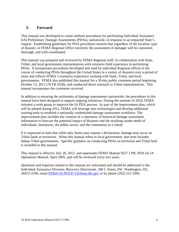# <span id="page-5-0"></span>**I. Forward**

This manual was developed to create uniform procedures for performing Individual Assistance (IA) Preliminary Damage Assessments (PDAs), nationwide, in response to an impacted State's request. Establishing guidelines for PDA procedures ensures that regardless of the location, type of disaster, or FEMA Regional Office involved, the assessment of damages will be consistent, thorough, and well-coordinated.

This manual was prepared and reviewed by FEMA Regional staff, in collaboration with State, Tribal, and local government representatives with extensive field experience in performing PDAs. It incorporates procedures developed and used by individual Regional offices in the course of conducting PDAs throughout the United States in a variety of disasters over a period of years and reflects FEMA's extensive experience working with State, Tribal, and local governments. FEMA also published this manual for a 30-day public comment period beginning October 13, 2011 (76 FR 6328), and conducted direct outreach to Tribal representatives. This manual incorporates the comments received.

In addition to ensuring the uniformity of damage assessments nationwide, the procedures in this manual have been designed to support ongoing initiatives. During the summer of 2010, FEMA initiated a work group to improve the IA PDA process. As part of the improvement plan, which will be piloted during 2012, FEMA will leverage new technologies and develop additional training tools to establish a nationally credentialed damage assessment workforce. The improvement plan includes the creation of a repository of historical damage assessment information to forecast the potential impact of disasters and the resulting unmet needs of individuals, businesses, the public sector, and the community as a whole.

It is important to note that while only States may request a declaration, damage may occur on Tribal lands or territories. When this manual refers to local government, that term includes Indian Tribal governments. Specific guidance on conducting PDAs on territorial and Tribal land is included in this manual.

This manual is effective July 18, 2012, and supersedes FEMA Manual 9327.1 PR, PDA for IA Operations Manual, April 2005, and will be reviewed every two years.

Questions and inquiries related to this manual are welcomed and should be addressed to the Individual Assistance Division, Recovery Directorate, 500 C Street, SW, Washington, DC, 20472-3100, email [FEMA-IA-POLICY@fema.dhs.gov](mailto:FEMA-IA-POLICY@fema.dhs.gov) or by phone (202) 212-1000.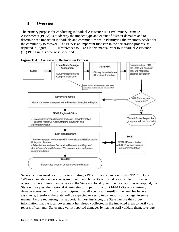# <span id="page-6-0"></span>**II. Overview**

The primary purpose for conducting Individual Assistance (IA) Preliminary Damage Assessments (PDAs) is to identify the impact, type and extent of disaster damages and to determine the impact on individuals and communities while identifying the resources needed for the community to recover. The PDA is an important first step in the declaration process, as depicted in Figure II-1. All references to PDAs in this manual refer to Individual Assistance (IA) PDAs unless otherwise specified.



Several actions must occur prior to initiating a PDA. In accordance with 44 CFR 206.33 (a), "When an incident occurs, or is imminent, which the State official responsible for disaster operations determines may be beyond the State and local government capabilities to respond, the State will request the Regional Administrator to perform a joint FEMA-State preliminary damage assessment." It is not anticipated that all events will result in the need for Federal assistance; therefore, the State will be expected to verify initial reports of damage, in some manner, before requesting this support. In most instances, the State can use the survey information that the local government has already collected in the impacted areas to verify the reports of damage. States may verify reported damages by having staff validate them, leverage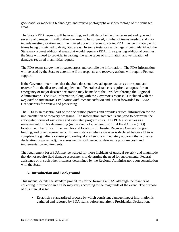geo-spatial or modeling technology, and review photographs or video footage of the damaged areas.

The State's PDA request will be in writing, and will describe the disaster event and type and severity of damage. It will outline the areas to be surveyed; number of teams needed, and may include meeting location and time. Based upon this request, a Joint PDA may be initiated, with teams being dispatched to designated areas. In some instances as damage is being identified, the State may request additional areas that would require a PDA. In requesting additional counties, the State will need to provide, in writing, the same types of information and verification of damages required in an initial request.

The PDA teams survey the impacted areas and compile the information. The PDA information will be used by the State to determine if the response and recovery actions will require Federal support.

If the Governor determines that the State does not have adequate resources to respond and recover from the disaster, and supplemental Federal assistance is required, a request for an emergency or major disaster declaration may be made to the President through the Regional Administrator. The PDA information, along with the Governor's request, is included with the *Regional Administrator's Validation and Recommendation* and is then forwarded to FEMA Headquarters for review and processing.

The PDA is an essential part of the declaration process and provides critical information for the implementation of recovery programs. The information gathered is analyzed to determine the anticipated forms of assistance and estimated program costs. The PDA also serves as a management tool for determining (in the event of a declaration) Joint Field Office (JFO) location, number of staff, the need for and locations of Disaster Recovery Centers, program funding, and other requirements. In rare instances when a disaster is declared before a PDA is completed (e.g., after a catastrophic earthquake when it is immediately apparent that a disaster declaration is warranted), the assessment is still needed to determine program costs and implementation requirements.

The requirement for a PDA may be waived for those incidents of unusual severity and magnitude that do not require field damage assessments to determine the need for supplemental Federal assistance or in such other instances determined by the Regional Administrator upon consultation with the State.

# <span id="page-7-0"></span>**A. Introduction and Background**

This manual details the standard procedures for performing a PDA, although the manner of collecting information in a PDA may vary according to the magnitude of the event. The purpose of this manual is to:

• Establish a standardized process by which consistent damage impact information is gathered and reported by PDA teams before and after a Presidential Declaration.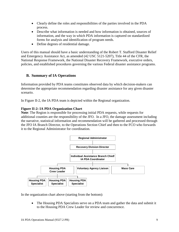- Clearly define the roles and responsibilities of the parties involved in the PDA process.
- Describe what information is needed and how information is obtained, sources of information, and the way in which PDA information is captured on standardized forms for analysis and identification of program needs.
- Define degrees of residential damage.

Users of this manual should have a basic understanding of the Robert T. Stafford Disaster Relief and Emergency Assistance Act, as amended (42 USC 5121-5207), Title 44 of the CFR, the National Response Framework, the National Disaster Recovery Framework, executive orders, policies, and established procedures governing the various Federal disaster assistance programs.

# <span id="page-8-0"></span>**B. Summary of IA Operations**

Information provided by PDA teams constitutes observed data by which decision-makers can determine the appropriate recommendation regarding disaster assistance for any given disaster scenario.

In Figure II-2, the IA PDA team is depicted within the Regional organization.

#### **Figure II-2: IA PDA Organization Chart**

**Note**: The Region is responsible for processing initial PDA requests, while requests for additional counties are the responsibility of the JFO. In a JFO, the damage assessment including the narrative, statistical information and recommendation will be gathered and processed through the JFO IA Branch Director, to the Operations Section Chief and then to the FCO who forwards it to the Regional Administrator for coordination.



In the organization chart above (starting from the bottom):

• The Housing PDA Specialists serve on a PDA team and gather the data and submit it to the Housing PDA Crew Leader for review and concurrence.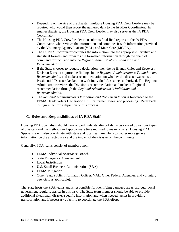- Depending on the size of the disaster, multiple Housing PDA Crew Leaders may be required who would then report the gathered data to the IA PDA Coordinator. In smaller disasters, the Housing PDA Crew Leader may also serve as the IA PDA Coordinator.
- The Housing PDA Crew Leader then submits final field reports to the IA PDA Coordinator, who reviews the information and combines it with information provided by the Voluntary Agency Liaison (VAL) and Mass Care (MC/EA).
- The IA PDA Coordinator compiles the information into the appropriate narrative and statistical formats and forwards the formatted information through the chain of command for inclusion into the *Regional Administrator's Validation and Recommendation*.
- If the State chooses to request a declaration, then the IA Branch Chief and Recovery Division Director capture the findings in the *Regional Administrator's Validation and Recommendation* and make a recommendation on whether the disaster warrants a Presidential Disaster Declaration with Individual Assistance authorized. The Regional Administrator reviews the Division's recommendation and makes a Regional recommendation through the *Regional Administrator's Validation and Recommendation*.
- The *Regional Administrator's Validation and Recommendation* is forwarded to the FEMA Headquarters Declaration Unit for further review and processing. Refer back to Figure II-1 for a depiction of this process.

# <span id="page-9-0"></span>**C. Roles and Responsibilities of IA PDA Staff**

Housing PDA Specialists should have a good understanding of damages caused by various types of disasters and the methods and approximate time required to make repairs. Housing PDA Specialists will also coordinate with state and local team members to gather more general information on the affected area and the impact of the disaster on the community.

Generally, PDA teams consist of members from:

- FEMA Individual Assistance Branch
- State Emergency Management
- Local Jurisdiction
- U.S. Small Business Administration (SBA)
- FEMA Mitigation
- Other (e.g., Public Information Officer, VAL, Other Federal Agencies, and voluntary agencies, as applicable).

The State hosts the PDA teams and is responsible for identifying damaged areas, although local government regularly assists in this task. The State team member should be able to provide additional situational, disaster-specific information and when needed, assist in providing transportation and if necessary a facility to coordinate the PDA effort.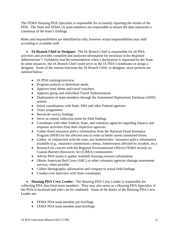The FEMA Housing PDA Specialist is responsible for accurately reporting the results of the PDA. The State and FEMA IA team members are responsible to ensure the data represents a consensus of the team's findings.

Roles and responsibilities are identified by title; however actual responsibilities may shift according to available staff.

• **IA Branch Chief or Designee:** The IA Branch Chief is responsible for all PDA activities and provides compiled and analyzed information for inclusion in the *Regional Administrator's Validation and Recommendation* when a declaration is requested by the State. In some instances, the IA Branch Chief could serve as the IA PDA Coordinator or assign a designee. Some of the routine functions the IA Branch Chief, or designee, must perform are outlined below:

- IA PDA training/overview
- Program analysis to determine needs
- Approve time sheets and travel vouchers
- Approve group and individual Travel Authorizations
- Deployment of team members through the Automated Deployment Database (ADD) system
- Initial coordination with State, SBA and other Federal agencies
- Team assignments
- Reconcile survey findings
- Serve as central collection point for field findings
- Coordinate with other Federal, State, and voluntary agencies regarding impacts and response activities from their respective agencies
- Gather flood insurance policy information from the National Flood Insurance Program (NFIP) for the affected area in order to better assess uninsured losses.
- Gather, in conjunction with the state, any homeowners' insurance policy information available (e.g., insurance commission, census, homeowners affected by incident, etc.)
- Research (in concert with the Regional Environmental Officer) FEMA records on Coastal Barriers Resources Act (CBRA) communities
- Advise PDA teams to gather available housing resource information
- Obtain American Red Cross (ARC) or other voluntary agencies damage assessment surveys, when possible
- Collect demographic information and compare to actual field findings
- Conduct exit interview with State counterpart

• **Housing PDA Crew Leader:** The Housing PDA Crew Leader is responsible for collecting PDA data from team members. They may also serve as a Housing PDA Specialist, if the PDA is localized and roles can be combined. Some of the duties of the Housing PDA Crew Leader are:

- FEMA PDA team member pre-briefings
- FEMA PDA team member post-briefings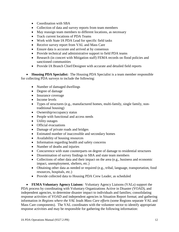- Coordination with SBA
- Collection of data and survey reports from team members
- May reassign team members to different locations, as necessary
- Track current locations of PDA Teams
- Work with State IA PDA Lead for specific field tasks
- Receive survey report from VAL and Mass Care
- Ensure data is accurate and arrived at by consensus
- Provide technical and administrative support to field PDA teams
- Research (in concert with Mitigation staff) FEMA records on flood policies and sanctioned communities
- Provide IA Branch Chief/Designee with accurate and detailed field reports

• **Housing PDA Specialist:** The Housing PDA Specialist is a team member responsible for collecting PDA surveys to include the following:

- Number of damaged dwellings
- Degree of damage
- Insurance coverage
- Income levels
- Types of structures (e.g., manufactured homes, multi-family, single family, nontraditional housing)
- Ownership/occupancy status
- People with functional and access needs
- Utility outages
- Official evacuations
- Damage of private roads and bridges
- Estimated number of inaccessible and secondary homes
- Availability of housing resources
- Information regarding health and safety concerns
- Number of deaths and injuries
- Concurrence with state counterparts on degree of damage to residential structures
- Dissemination of survey findings to SBA and state team members
- Collections of other data and their impact on the area (e.g., business and economic impact, unemployment, shelters, etc.)
- Obtaining other data as needed or required (e.g., tribal, language, transportation, food resources, hospitals, etc.)
- Provide collected data to Housing PDA Crew Leader, as scheduled

• **FEMA Voluntary Agency Liaison:** Voluntary Agency Liaisons (VALs) support the PDA process by coordinating with Voluntary Organizations Active in Disaster (VOAD), and independent agencies, to determine disaster impact to individuals and families; consolidating response activities of VOAD and independent agencies in Situation Report format; and gathering information *in Regions where the VAL leads Mass Care efforts* (some Regions separate VAL and Mass Care components). The VAL coordinates with the volunteer sector to identify appropriate response activities and may be responsible for gathering the following information: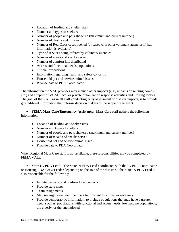- Location of feeding and shelter sites
- Number and types of shelters
- Number of people and pets sheltered (maximum and current number)
- Number of deaths and injuries
- Number of Red Cross cases opened (or cases with other voluntary agencies if that information is available)
- Type of services being offered by voluntary agencies
- Number of meals and snacks served
- Number of comfort kits distributed
- Access and functional needs populations
- Official evacuations
- Information regarding health and safety concerns
- Household pet and service animal issues
- Provide data to PDA Coordinator

The information the VAL provides may include other impacts (e.g., impacts on nursing homes, etc.) and a report of VOAD/local or private organization response activities and limiting factors. The goal of the VAL, as in all staff conducting early assessment of disaster impacts, is to provide ground-level information that informs decision makers of the scope of the event.

• **FEMA Mass Care/Emergency Assistance:** Mass Care staff gathers the following information:

- Location of feeding and shelter sites
- Number and types of shelters
- Number of people and pets sheltered (maximum and current number)
- Number of meals and snacks served
- Household pet and service animal issues
- Provide data to PDA Coordinator

When Regional Mass Care staff is not available, these responsibilities may be completed by FEMA VALs.

• **State IA PDA Lead:** The State IA PDA Lead coordinates with the IA PDA Coordinator or Housing PDA Crew Leader depending on the size of the disaster. The State IA PDA Lead is also responsible for the following:

- Initiate, provide, and confirm local contacts
- Provide state maps
- Team assignments
- May reassign state team members to different locations, as necessary
- Provide demographic information, to include populations that may have a greater need, such as: populations with functional and access needs, low income populations, the elderly, or the unemployed.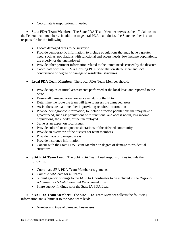• Coordinate transportation, if needed

• **State PDA Team Member:** The State PDA Team Member serves as the official host to the Federal team members. In addition to general PDA team duties, the State member is also responsible for the following:

- Locate damaged areas to be surveyed
- Provide demographic information, to include populations that may have a greater need, such as: populations with functional and access needs, low income populations, the elderly, or the unemployed
- Provide other pertinent information related to the unmet needs caused by the disaster
- Coordinate with the FEMA Housing PDA Specialist on state/Tribal and local concurrence of degree of damage to residential structures
- **Local PDA Team Member:** The Local PDA Team Member should:
	- Provide copies of initial assessments performed at the local level and reported to the **State**
	- Ensure all damaged areas are surveyed during the PDA
	- Determine the route the team will take to assess the damaged areas
	- Assist the state team member in providing required information
	- Provide demographic information, to include affected populations that may have a greater need, such as: populations with functional and access needs, low income populations, the elderly, or the unemployed
	- Serve as an expert on local issues
	- Provide cultural or unique considerations of the affected community
	- Provide an overview of the disaster for team members
	- Provide maps of damaged areas
	- Provide insurance information
	- Concur with the State PDA Team Member on degree of damage to residential structures
- **SBA PDA Team Lead:** The SBA PDA Team Lead responsibilities include the following:
	- Coordinate SBA PDA Team Member assignments
	- Compile SBA data for all teams
	- Submit agency findings to the IA PDA Coordinator to be included in the *Regional Administrator's Validation and Recommendation*
	- Share agency findings with the State IA PDA Lead

• **SBA PDA Team Member:** The SBA PDA Team Member collects the following information and submits it to the SBA team lead:

• Number and type of damaged businesses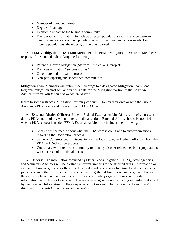- Number of damaged homes
- Degree of damage
- Economic impact to the business community
- Demographic information, to include affected populations that may have a greater need for assistance, such as: populations with functional and access needs, low income populations, the elderly, or the unemployed

• **FEMA Mitigation PDA Team Member:** The FEMA Mitigation PDA Team Member's responsibilities include identifying the following:

- Potential Hazard Mitigation (Stafford Act Sec. 404) projects
- Previous mitigation "success stories"
- Other potential mitigation projects
- Non-participating and sanctioned communities

Mitigation Team Members will submit their findings to a designated Mitigation Team Lead. Regional mitigation staff will analyze this data for the Mitigation portion of the *Regional Administrator's Validation and Recommendation*.

**Note**: In some instances, Mitigation staff may conduct PDAs on their own or with the Public Assistance PDA teams and not accompany IA PDA teams.

• **External Affairs Officers:** State or Federal External Affairs Officers are often present during PDAs, particularly when there is media attention. External Affairs should be notified when a PDA request is made. FEMA External Affairs' role includes the following:

- Speak with the media about what the PDA team is doing and to answer questions regarding the Declaration process.
- Serve as Congressional Liaisons, informing local, state, and federal officials about the PDA and Declaration process.
- Coordinate with the local community to identify disaster related needs for populations with access and functional needs.

• Others: The information provided by Other Federal Agencies (OFAs), State agencies and Voluntary Agencies will help establish overall impacts to the affected areas. Information on agricultural impacts, disaster effects on the elderly and people with functional and access needs, job losses, and other disaster specific needs may be gathered from these contacts, even though they may not be actual team members. OFAs and voluntary organizations can provide information on the types of assistance their respective agencies are providing individuals affected by the disaster. Information on their response activities should be included in the *Regional Administrator's Validation and Recommendation*.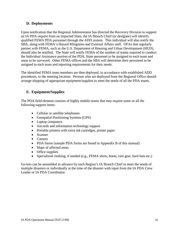# <span id="page-15-0"></span>**D. Deployments**

Upon notification that the Regional Administrator has directed the Recovery Division to support an IA PDA request from an impacted State, the IA Branch Chief (or designee) will identify qualified FEMA PDA personnel through the ADD system. This individual will also notify the SBA, along with FEMA's Hazard Mitigation and External Affairs staff. OFAs that regularly partner with FEMA, such as the U.S. Department of Housing and Urban Development (HUD), should also be notified. The State will notify FEMA of the number of teams required to conduct the Individual Assistance portion of the PDA, State personnel to be assigned to each team and areas to be surveyed. Other FEMA offices and the SBA will determine their personnel to be assigned to each team and reporting requirements for their needs.

The identified FEMA team members are then deployed, in accordance with established ADD procedures, to the meeting location. Persons who are deployed from the Regional Office should arrange shipping of appropriate equipment/supplies to meet the needs of all the PDA teams.

# <span id="page-15-1"></span>**E. Equipment/Supplies**

The PDA field element consists of highly mobile teams that *may* require some or all the following support items:

- Cellular or satellite telephones
- Geospatial Positioning Systems (GPS)
- Laptop computers
- Aircards and information technology support
- Portable printers with extra ink cartridges, printer paper
- Scanner
- Camera
- PDA forms (sample PDA forms are found in Appendix B of this manual)
- Maps of affected areas
- Office supplies
- Specialized clothing, if needed (e.g., FEMA shirts, boots, rain gear, hard hats etc.)

Go-kits can be assembled in advance by each Region's IA Branch Chief to meet the needs of multiple disasters or individually at the time of the disaster with input from the IA PDA Crew Leader or IA PDA Coordinator.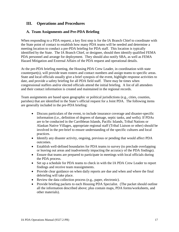# <span id="page-16-0"></span>**III. Operations and Procedures**

# <span id="page-16-1"></span>**A. Team Assignments and Pre-PDA Briefing**

When responding to a PDA request, a key first step is for the IA Branch Chief to coordinate with the State point of contact to establish how many PDA teams will be needed and determine a meeting location to conduct a pre-PDA briefing for PDA staff. This location is typically identified by the State. The IA Branch Chief, or designee, should then identify qualified FEMA PDA personnel and arrange for deployment. They should also notify SBA, as well as FEMA Hazard Mitigation and External Affairs of the PDA request and operational details.

At the pre-PDA briefing meeting, the Housing PDA Crew Leader, in coordination with state counterpart(s), will provide team rosters and contact numbers and assign teams to specific areas. State and local officials usually give a brief synopsis of the event, highlight response activities to date, and provide a safety briefing for all PDA field staff. There may be times when congressional staffers and/or elected officials attend the initial briefing. A list of all attendees and their contact information is created and maintained in the regional records.

Team assignments are based upon geographic or political jurisdictions (e.g., cities, counties, parishes) that are identified in the State's official request for a Joint PDA. The following items are generally included in the pre-PDA briefing:

- Discuss particulars of the event, to include insurance coverage and disaster-specific information (i.e., definition of degrees of damage, septic tanks, and wells). If PDAs are to be conducted in the Carribbean Islands, Pacific Islands, Tribal Nations or Alaskan Native Villages, appropriate regional staff (Tribal Liaison or other) should be involved in the pre-brief to ensure understanding of the specific cultures and local practices.
- Identify any disaster activity, ongoing, previous or pending that would affect PDA outcomes.
- Establish well-defined boundaries for PDA teams to survey (to preclude overlapping or leaving out areas and inadvertently impacting the accuracy of the PDA findings).
- Ensure that teams are prepared to participate in meetings with local officials during the PDA process.
- Set up a schedule for PDA teams to check in with the IA PDA Crew Leader to report findings and receive team reassignments.
- Provide clear guidance on when daily reports are due and when and where the final debriefing will take place.
- Review the data collection process (e.g., paper, electronic).
- Provide briefing packets to each Housing PDA Specialist. (The packet should outline all the information described above; plus contain maps, PDA forms/worksheets, and other materials).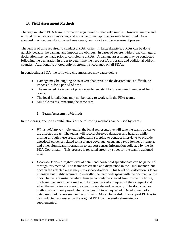#### <span id="page-17-0"></span>**B. Field Assessment Methods**

The way in which PDA team information is gathered is relatively simple. However, unique and unusual circumstances may occur, and unconventional approaches may be required. As a standard practice, heavily impacted areas are given priority in the assessment process.

The length of time required to conduct a PDA varies. In large disasters, a PDA can be done quickly because the damage and impacts are obvious. In cases of severe, widespread damage, a declaration may be made prior to completing a PDA. A damage assessment may be conducted following the declaration in order to determine the need for IA programs and additional add-on counties. Additionally, photography is strongly encouraged on all PDAs.

In conducting a PDA, the following circumstances may cause delays:

- Damage may be ongoing or so severe that travel to the disaster site is difficult, or impossible, for a period of time.
- The impacted State cannot provide sufficient staff for the required number of field teams.
- The local jurisdictions may not be ready to work with the PDA teams.
- Multiple events impacting the same area.

#### **1. Team Assessment Methods**

<span id="page-17-1"></span>In most cases, one (or a combination) of the following methods can be used by teams:

- *Windshield Survey*—Generally, the local representative will take the teams by car to the affected areas. The teams will record observed damages and hazards while driving through these areas, periodically stopping to conduct interviews to provide anecdotal evidence related to insurance coverage, occupancy type (owner or renter), and other significant information to support census information collected by the IA PDA Coordinator. This process is repeated street-by-street for the team's assigned area.
- *Door-to-Door*—A higher level of detail and household specific data can be gathered through this method. The teams are created and dispatched in the usual manner, but once in the affected areas they survey door-to-door. This level of verification is labor intensive but highly accurate. Generally, the team will speak with the occupant at the door. In the rare instance when damage can only be viewed from inside the house, the team may enter the home but only upon the verbal request of the occupant and when the entire team agrees the situation is safe and necessary. The door-to-door method is commonly used when an appeal PDA is requested. Development of a database of addresses seen in the original PDA can be useful. If an appeal PDA is to be conducted, addresses on the original PDA can be easily eliminated or supplemented.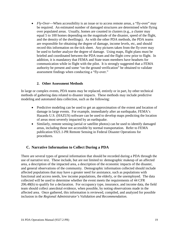• *Fly-Over*—When accessibility is an issue or to access remote areas, a "fly-over" may be required. An estimated number of damaged structures are determined while flying over populated areas. Usually, homes are counted in clusters (e.g., a cluster may equal 5 to 100 homes depending on the magnitude of the disaster, speed of the flight, and the density of the dwellings). As with the other PDA methods, the PDA teams are responsible for obtaining the degree of damage, income levels, etc, and should record this information on the tick sheet. Any pictures taken from the fly-over may be used to further analyze the degree of damage. Using maps, flight plans must be briefed and coordinated between the PDA team and the flight crew prior to flight. In addition, it is mandatory that FEMA and State team members have headsets for communication while in flight with the pilot. It is strongly suggested that a FEMA authority be present and some "on the ground verification" be obtained to validate assessment findings when conducting a "fly-over."

#### **2. Other Assessment Methods**

<span id="page-18-0"></span>In large or complex events, PDA teams may be replaced, entirely or in part, by other technical methods of gathering data related to disaster impacts. These methods may include predictive modeling and automated data collection, such as the following:

- Predictive modeling can be used to get an approximation of the extent and location of damage in large events. For example, immediately after an earthquake, FEMA's Hazards U.S. (HAZUS) software can be used to develop maps predicting the location of areas most severely impacted by an earthquake.
- Similarly, remote sensing (aerial or satellite photos) can be used to identify damaged areas, including those not accessible by normal transportation. Refer to FEMA publication 9321.1-PR Remote Sensing in Federal Disaster Operations for procedures.

# <span id="page-18-1"></span>**C. Narrative Information to Collect During a PDA**

There are several types of general information that should be recorded during a PDA through the use of narrative text. These include, but are not limited to: demographic makeup of an affected area, a description of the impacted area, a description of the economic impacts of the disaster, and general observations of the community. Demographic information collected should include affected populations that may have a greater need for assistance, such as populations with functional and access needs, low income populations, the elderly, or the unemployed. The data collected will be used to determine whether the event meets the requirements of 44 CFR 206.48(b) to qualify for a declaration. For occupancy type, insurance, and income data, the field team should collect anecdotal evidence, when possible, by noting observations made in the affected area. Once gathered, this information is reviewed, compiled, and analyzed for possible inclusion in the *Regional Administrator's Validation and Recommendation*.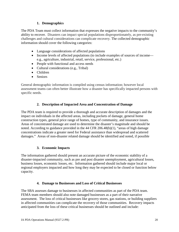#### **1. Demographics**

<span id="page-19-0"></span>The PDA Team must collect information that expresses the negative impacts to the community's ability to recover. Disasters can impact special populations disproportionately, as pre-existing challenges and cultural considerations can complicate recovery. The collected demographic information should cover the following categories:

- Language considerations of affected populations
- Income levels of affected populations (to include examples of sources of income e.g., agriculture, industrial, retail, service, professional, etc.)
- People with functional and access needs
- Cultural considerations (e.g., Tribal)
- Children
- Seniors

General demographic information is compiled using census information; however local assessment teams can often better illustrate how a disaster has specifically impacted persons with specific needs.

# **2. Description of Impacted Area and Concentration of Damage**

<span id="page-19-1"></span>The PDA team is required to provide a thorough and accurate description of damages and the impact on individuals in the affected areas, including pockets of damage, general home construction types, general price range of homes, type of community, and insurance issues. Areas of concentrated damage are used to determine the disaster's magnitude and should be noted. According to guidance provided in the 44 CFR 206.48(b)(1), "areas of high damage concentrations indicate a greater need for Federal assistance than widespread and scattered damages." Areas of non-disaster related damage should be identified and noted, if possible

#### **3. Economic Impacts**

<span id="page-19-2"></span>The information gathered should present an accurate picture of the economic stability of a disaster-impacted community, such as pre and post disaster unemployment, agricultural losses, business losses, economic losses, etc. Information gathered should include major local or regional employers impacted and how long they may be expected to be closed or function below capacity.

#### **4. Damage to Businesses and Loss of Critical Businesses**

<span id="page-19-3"></span>The SBA assesses damage to businesses in affected communities as part of the PDA team. FEMA team members should also note damaged businesses as a part of their narrative assessment. The loss of critical businesses like grocery stores, gas stations, or building suppliers in affected communities can complicate the recovery of those communities. Recovery impacts anticipated from the loss of these critical businesses should be outlined and include: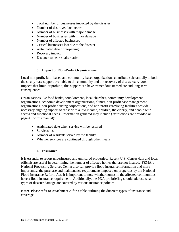- Total number of businesses impacted by the disaster
- Number of destroyed businesses
- Number of businesses with major damage
- Number of businesses with minor damage
- Number of affected businesses
- Critical businesses lost due to the disaster
- Anticipated date of reopening
- Recovery impact
- Distance to nearest alternative

#### **5. Impact on Non-Profit Organizations**

<span id="page-20-0"></span>Local non-profit, faith-based and community-based organizations contribute substantially to both the steady state support available to the community and the recovery of disaster survivors. Impacts that limit, or prohibit, this support can have tremendous immediate and long-term consequences.

Organizations like food banks, soup kitchens, local churches, community development organizations, economic development organizations, clinics, non-profit case management organizations, non-profit housing corporations, and non-profit care/living facilities provide necessary ongoing support to those with a low income, children, the elderly, and people with access and functional needs. Information gathered may include (Instructions are provided on page 41 of this manual):

- Anticipated date when service will be restored
- Services lost
- Number of residents served by the facility
- Whether services are continued through other means

#### **6. Insurance**

<span id="page-20-1"></span>It is essential to report underinsured and uninsured properties. Recent U.S. Census data and local officials are useful in determining the number of affected homes that are not insured. FEMA's National Processing Services Center also can provide flood insurance information and more importantly, the purchase and maintenance requirements imposed on properties by the National Flood Insurance Reform Act. It is important to note whether homes in the affected communities have a flood insurance requirement. Additionally, the PDA pre-briefing should address what types of disaster damage are covered by various insurance policies.

**Note:** Please refer to Attachment A for a table outlining the different types of insurance and coverage.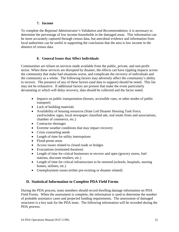#### **7. Income**

<span id="page-21-0"></span>To complete the *Regional Administrator's Validation and Recommendation*, it is necessary to determine the percentage of low income households in the damaged areas. This information can be more accurately captured through census data, but anecdotal evidence and information from local authorities can be useful in supporting the conclusion that the area is low income in the absence of census data.

#### **8. General Issues that Affect Individuals**

<span id="page-21-1"></span>Communities are reliant on services made available from the public, private, and non-profit sector. When these services are disrupted by disaster, the effects can have rippling impacts across the community that make bad situations worse, and complicate the recovery of individuals and the community as a whole. The following factors may adversely affect the community's ability to recover. The presence of any of these factors (and data to support) should be noted. This list may not be exhaustive. If additional factors are present that make the event particularly devastating or which will delay recovery, data should be collected and the factor noted.

- Impacts on public transportation (busses, accessible vans, or other modes of public transport)
- Lack of building materials
- Availability of housing resources (State Led Disaster Housing Task Force, yard/window signs, local newspaper classified ads, real estate firms and associations, chamber of commerce, etc.)
- Contractor shortages
- Extreme weather conditions that may impact recovery
- Crisis counseling needs
- Length of time for utility interruptions
- Flood-prone areas
- Access issues related to closed roads or bridges
- Evacuations (estimated duration)
- Length of time for critical businesses to recover and open (grocery stores, fuel stations, discount retailers, etc.)
- Length of time for critical infrastructure to be restored (schools, hospitals, nursing homes, utilities, etc.)
- Unemployment issues (either pre-existing or disaster related)

# <span id="page-21-2"></span>**D. Statistical Information to Complete PDA Field Forms**

During the PDA process, team members should record dwelling damage information on PDA Field Forms. When the assessment is complete, the information is used to determine the number of probable assistance cases and projected funding requirements. The assessment of damaged structures is a key task for the PDA team. The following information will be recorded during the PDA process: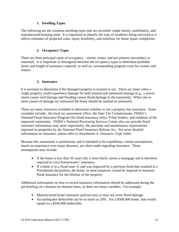#### **1. Dwelling Types**

<span id="page-22-0"></span>The following are the common dwelling types that are recorded: single family, multifamily, and manufactured housing units. It is important to identify the type of residence being surveyed as it affects estimates of projected costs, repair feasibility, and timelines for home repair completion.

# **2. Occupancy Types**

<span id="page-22-1"></span>There are three principal types of occupancy – owner, renter, and not primary (secondary or seasonal)*.* It is important to distinguish between the occupancy types to determine probable forms and length of assistance required, as well as, corresponding program costs for owners and renters.

# **3. Insurance**

<span id="page-22-2"></span>It is essential to determine if the damaged property is insured or not. There are times when a single property could experience damage for both insured and uninsured damage (e.g., a severe storm causes roof damage and flooding causes flood-damage to the basement). When one or more causes of damage are uninsured the home should be marked as uninsured.

There are many resources available to determine whether or not a property has insurance. Some examples include: the local tax assessment office, the State Tax Commissioner, FEMA's National Flood Insurance Program (for flood insurance only), Tribal leaders, and residents of the impacted community. FEMA's National Processing Services Center also can provide flood insurance information and, more importantly, the purchase and maintenance requirements imposed on properties by the National Flood Insurance Reform Act. For more detailed information on insurance, please refer to Attachment A: Insurance Type Table.

Because this assessment is preliminary and is intended to be expeditious, certain assumptions, based on experience over many disasters, are often made regarding insurance. Those assumptions may include:

- If the home is less than 30 years old, it most likely carries a mortgage and is therefore required to carry homeowners' insurance.
- If a home is in a flood zone A, and was impacted by a previous flood that resulted in a Presidential declaration, the home, in most instances, would be required to maintain flood insurance for the lifetime of the property.

Additional information on how to record insurance information should be addressed during the pre-briefing on a disaster-by-disaster basis, as there are many variables. For example:

- Manufactured home insurance policies may or may not cover flood damage.
- An earthquake deductible can be as much as 20%. For a \$500,000 home, that would equate to a \$100,000 deductible.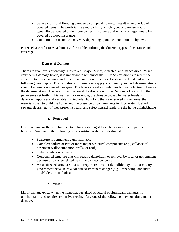- Severe storm and flooding damage on a typical home can result in an overlap of covered items. The pre-briefing should clarify which types of damage would generally be covered under homeowner's insurance and which damages would be covered by flood insurance.
- Condominium insurance may vary depending upon the condominium bylaws.

**Note:** Please refer to Attachment A for a table outlining the different types of insurance and coverage.

#### **4. Degree of Damage**

<span id="page-23-0"></span>There are five levels of damage: Destroyed, Major, Minor, Affected, and Inaccessible. When considering damage levels, it is important to remember that FEMA's mission is to return the structure to a safe, sanitary and functional condition. Each level is described in detail in the following paragraphs. The definitions of these levels apply to all unit types. All determinations should be based on viewed damages. The levels are set as guidelines but many factors influence the determination. The determinations are at the discretion of the Regional office within the parameters set forth in this manual. For example, the damage caused by water levels is dependent upon several variables, to include: how long the water stayed in the home, the materials used to build the home, and the presence of contaminants in flood water (fuel oil, sewage, debris, etc.) if they present a health and safety hazard rendering the home uninhabitable.

#### **a. Destroyed**

Destroyed means the structure is a total loss or damaged to such an extent that repair is not feasible. Any one of the following may constitute a status of destroyed:

- Structure is permanently uninhabitable
- Complete failure of two or more major structural components (e.g., collapse of basement walls/foundation, walls, or roof)
- Only foundation remains
- Condemned structure that will require demolition or removal by local or government because of disaster-related health and safety concerns
- An unaffected structure that will require removal or demolition by local or county government because of a confirmed imminent danger (e.g., impending landslides, mudslides, or sinkholes)

#### **b. Major**

Major damage exists when the home has sustained structural or significant damages, is uninhabitable and requires extensive repairs. Any one of the following may constitute major damage: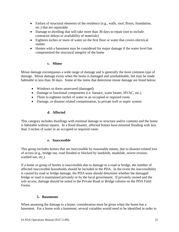- Failure of structural elements of the residence (e.g., walls, roof, floors, foundation, etc.) that are repairable
- Damage to dwelling that will take more than 30 days to repair (not to include contractor delays or availability of materials)
- Eighteen inches or more of water on the first floor or water that covers electrical outlets
- Homes with a basement may be considered for major damage if the water level has compromised the structural integrity of the home

#### **c. Minor**

Minor damage encompasses a wide range of damage and is generally the most common type of damage. Minor damage exists when the home is damaged and uninhabitable, but may be made habitable in less than 30 days. Some of the items that determine minor damage are listed below:

- Windows or doors unsecured (damaged)
- Damage to functional components (i.e. furnace, water heater, HVAC, etc.)
- Three to eighteen inches of water in an occupied or required room
- Damage, or disaster related contamination, to private well or septic system

#### **d. Affected**

This category includes dwellings with minimal damage to structure and/or contents and the home is habitable without repairs. In a flood disaster, affected homes have minimal flooding with less than 3 inches of water in an occupied or required room.

#### **e. Inaccessible**

This group includes homes that are inaccessible by reasonable means, due to disaster-related loss of access (e.g., bridge out, road flooded or blocked by landslide, mudslide, severe erosion, washed out, etc.).

If a home or group of homes is inaccessible due to damage to a road or bridge, the number of affected inaccessible households should be included in the PDA. In the event the inaccessibility is caused by road or bridge damage, the PDA team should determine whether the damaged bridge or road is maintained privately or by the local government. If privately owned and the sole access, damage should be noted in the Private Road or Bridge column on the PDA Field Forms.

#### **5. Basements**

<span id="page-24-0"></span>When assessing the damage to a home, consideration must be given when the home has a basement. For a home with a basement, several variables would need to be identified in order to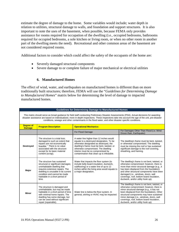estimate the degree of damage to the home. Some variables would include; water depth in relation to utilities, structural damage to walls, and foundation and support structures. It is also important to note the uses of the basement, when possible, because FEMA only provides assistance for rooms required for occupation of the dwelling (i.e., occupied bedrooms, bathrooms required for occupied bedrooms, a sole kitchen or living room, or when no other room in another part of the dwelling meets the need). Recreational and other common areas of the basement are not considered required rooms.

Additional factors to consider which could affect the safety of the occupants of the home are:

- Severely damaged structural components
- Severe damage to or complete failure of major mechanical or electrical utilities

#### **6. Manufactured Homes**

<span id="page-25-0"></span>The effect of wind, water, and earthquakes on manufactured homes is different than on more traditionally built structures; therefore, FEMA will use the "*Guidelines for Determining Damage to Manufactured Homes*" matrix below for determining the level of damage to impacted manufactured homes.

|                                   | <b>Guidelines for Determining Damage to Manufactured Homes</b>                                                                                                                                                                                                                                                                                                                                            |                                                                                                                                                                                                                                                                                                         |                                                                                                                                                                                                                                                                                                                                                                 |  |  |  |  |  |  |  |  |  |  |  |
|-----------------------------------|-----------------------------------------------------------------------------------------------------------------------------------------------------------------------------------------------------------------------------------------------------------------------------------------------------------------------------------------------------------------------------------------------------------|---------------------------------------------------------------------------------------------------------------------------------------------------------------------------------------------------------------------------------------------------------------------------------------------------------|-----------------------------------------------------------------------------------------------------------------------------------------------------------------------------------------------------------------------------------------------------------------------------------------------------------------------------------------------------------------|--|--|--|--|--|--|--|--|--|--|--|
|                                   | This matrix should serve as broad guidance for field staff conducting Preliminary Disaster Assessments (PDA). Actual decisions for awarding<br>disaster assistance are based on individualized, more in-depth inspections. These inspections take into account the age of the unit, pre-disaster<br>conditions, sewage and other contaminants in the flood water, and other disaster specific conditions. |                                                                                                                                                                                                                                                                                                         |                                                                                                                                                                                                                                                                                                                                                                 |  |  |  |  |  |  |  |  |  |  |  |
| <b>Degree of</b><br><b>Damage</b> | <b>Program Description</b>                                                                                                                                                                                                                                                                                                                                                                                | <b>Operational Mechanics</b>                                                                                                                                                                                                                                                                            |                                                                                                                                                                                                                                                                                                                                                                 |  |  |  |  |  |  |  |  |  |  |  |
|                                   |                                                                                                                                                                                                                                                                                                                                                                                                           | For Flood Damage                                                                                                                                                                                                                                                                                        | For Damages Other Than Flood (i.e. Wind<br>Driven Rain, Earthquake)                                                                                                                                                                                                                                                                                             |  |  |  |  |  |  |  |  |  |  |  |
| <b>Destroyed</b>                  | The structure is a total loss:<br>damaged to such an extent that<br>repairs are not economically<br>feasible. <sup>1</sup> There is no value<br>associated with the structure<br>except for its basic material<br>content (scrap).                                                                                                                                                                        | A water line higher than 12 inches would<br>equate to a destroyed designation. To be<br>otherwise designated as destroyed, the<br>dwelling's frame must be bent, twisted, or<br>otherwise compromised. The dwelling<br>interior must be so compromised by<br>contamination that clean up is infeasible. | The dwelling's frame must be bent, twisted,<br>or otherwise compromised. The dwelling<br>must be missing the roof or has sustained<br>significant damage to the roof covering,<br>sheathing, and framing.                                                                                                                                                       |  |  |  |  |  |  |  |  |  |  |  |
| Major                             | The structure has sustained<br>structural or significant damages;<br>uninhabitable dwelling that<br>requires extensive repairs. The<br>dwelling is unusable in its current<br>condition and cannot be made<br>habitable in a short period of<br>time.                                                                                                                                                     | Water that impacts the floor system (to<br>include belly board insulation, ductwork,<br>subflooring) or a water line of up to 12<br>inches within the living area would equate to<br>a major designation.                                                                                               | The dwelling's frame is not bent, twisted, or<br>otherwise compromised; however, there is<br>more than minor structural damage (e.g., it<br>has been displaced from the foundation)<br>and other structural components have been<br>damaged (i.e., windows, doors, wall<br>coverings, roof, bottom board insulation,<br>ductwork, and/or utility hook up).      |  |  |  |  |  |  |  |  |  |  |  |
| <b>Minor</b>                      | The structure is damaged and<br>uninhabitable, but may be made<br>habitable in a short period of time<br>with minimal home repairs. The<br>dwelling has some damage, but<br>can be used without significant<br>repair (repairable).                                                                                                                                                                       | Water line is below the floor system. In<br>general, skirting or HVAC may be impacted.                                                                                                                                                                                                                  | The dwelling's frame is not bent, twisted, or<br>otherwise compromised; however, there is<br>minor structural damage (e.g., it has not<br>been displaced from the foundation). Other<br>structural components may have sustained<br>minor damage (i.e., windows, doors, wall<br>coverings, roof, bottom board insulation,<br>ductwork, and/or utility hook up). |  |  |  |  |  |  |  |  |  |  |  |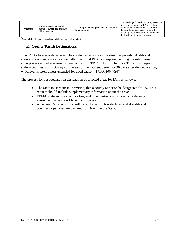| Affected | The structure has minimal<br>damage; dwelling is habitable<br>without repairs. | No damages affecting habitability; cosmetic<br>damages only. | The dwelling's frame is not bent, twisted, or<br>otherwise compromised. No structural<br>components of the dwelling have been<br>damaged (i.e., windows, doors, wall<br>coverings, roof, bottom board insulation,<br>ductwork, and/or utility hook up). |
|----------|--------------------------------------------------------------------------------|--------------------------------------------------------------|---------------------------------------------------------------------------------------------------------------------------------------------------------------------------------------------------------------------------------------------------------|
|----------|--------------------------------------------------------------------------------|--------------------------------------------------------------|---------------------------------------------------------------------------------------------------------------------------------------------------------------------------------------------------------------------------------------------------------|

1 Economic feasibility of repairs is not a habitability/repair standard.

# <span id="page-26-0"></span>**E. County/Parish Designations**

Joint PDAs to assess damage will be conducted as soon as the situation permits. Additional areas and assistance may be added after the initial PDA is complete, pending the submission of appropriate verified assessments pursuant to 44 CFR 206.40(c). The State/Tribe must request add-on counties within 30 days of the end of the incident period, or 30 days after the declaration, whichever is later, unless extended for good cause (44 CFR 206.40(d)).

The process for post declaration designation of affected areas for IA is as follows:

- The State must request, in writing, that a county or parish be designated for IA. This request should include supplementary information about the area;
- FEMA, state and local authorities, and other partners must conduct a damage assessment, when feasible and appropriate;
- A Federal Register Notice will be published if IA is declared and if additional counties or parishes are declared for IA within the State.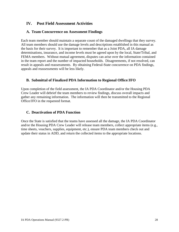# <span id="page-27-0"></span>**IV. Post Field Assessment Activities**

#### <span id="page-27-1"></span>**A. Team Concurrence on Assessment Findings**

Each team member should maintain a separate count of the damaged dwellings that they survey. All team members should use the damage levels and descriptions established in this manual as the basis for their survey. It is important to remember that as a Joint PDA, all IA damage determinations, insurance, and income levels must be agreed upon by the local, State/Tribal, and FEMA members. Without mutual agreement, disputes can arise over the information contained in the team report and the number of impacted households. Disagreements, if not resolved, can result in appeals and reassessments. By obtaining Federal-State concurrence on PDA findings, appeals and reassessments will be less likely.

# <span id="page-27-2"></span>**B. Submittal of Finalized PDA Information to Regional Office/JFO**

Upon completion of the field assessment, the IA PDA Coordinator and/or the Housing PDA Crew Leader will debrief the team members to review findings, discuss overall impacts and gather any remaining information. The information will then be transmitted to the Regional Office/JFO in the requested format.

#### <span id="page-27-3"></span>**C. Deactivation of PDA Function**

Once the State is satisfied that the teams have assessed all the damage, the IA PDA Coordinator and/or the Housing PDA Crew Leader will release team members, collect appropriate items (e.g., time sheets, vouchers, supplies, equipment, etc.), ensure PDA team members check out and update their status in ADD, and return the collected items to the appropriate locations.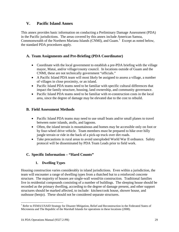# <span id="page-28-0"></span>**V. Pacific Island Annex**

This annex provides basic information on conducting a Preliminary Damage Assessment (PDA) in the Pacific jurisdictions. The areas covered by this annex include American Samoa, Commonwealth of the Northern Mariana Islands (CNMI), and Guam.<sup>[1](#page-0-0)</sup> Except as noted below, the standard PDA procedures apply.

# <span id="page-28-1"></span>**A. Team Assignments and Pre-Briefing (PDA Coordinator)**

- Coordinate with the local government to establish a pre-PDA briefing with the village mayor, Matai, and/or village/county council. In locations outside of Guam and the CNMI, these are not technically government "officials."
- A Pacific Island PDA team will most likely be assigned to assess a village, a number of villages in close proximity, or an island.
- Pacific Island PDA teams need to be familiar with specific cultural differences that impact the family structure, housing, land ownership, and community governance.
- Pacific Island PDA teams need to be familiar with re-construction costs in the local area, since the degree of damage may be elevated due to the cost to rebuild.

# <span id="page-28-2"></span>**B. Field Assessment Methods**

- Pacific Island PDA teams may need to use small boats and/or small planes to travel between outer islands, atolls, and lagoons.
- Often, the island terrain is mountainous and homes may be accessible only on foot or by four-wheel drive vehicle. Team members must be prepared to hike over hilly jungle terrain or ride in the back of a pick-up truck over dirt roads.
- Take precautions in rural areas to avoid unexploded World War II ordnance. Safety protocol will be disseminated by PDA Team Leads prior to field work.

# <span id="page-28-4"></span><span id="page-28-3"></span>**C. Specific Information – "Hard Counts"**

# **1. Dwelling Types**

Housing construction varies considerably in island jurisdictions. Even within a jurisdiction, the team will encounter a range of dwelling types from a thatched hut to a reinforced concrete structure. The majority of houses are single-wall wood/tin construction. Traditional families live in residential compounds consisting of a number of buildings. The sleeping house should be recorded as the primary dwelling, according to the degree of damage present, and other support structures should be marked affected, to include: kitchen/cook house, shower house, and outhouse (benjo). These should not be considered separate structures.

l <sup>1</sup> Refer to FEMA/USAID Strategy for Disaster Mitigation, Relief and Reconstruction in the Federated States of Micronesia and The Republic of the Marshall Islands for operations in these locations (2008).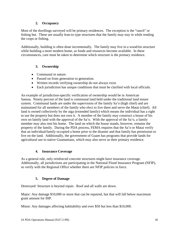# **2. Occupancy**

<span id="page-29-0"></span>Most of the dwellings surveyed will be primary residences. The exception is the "ranch" or fishing hut. These are usually lean-to type structures that the family may stay in while tending the crops or fishing.

Additionally, building is often done incrementally. The family may live in a wood/tin structure while building a more modern home, as funds and resources become available. In these circumstances, care must be taken to determine which structure is the primary residence.

# <span id="page-29-1"></span>**3. Ownership**

- Communal in nature.
- Passed on from generation to generation.
- Written records verifying ownership do not always exist.
- Each jurisdiction has unique conditions that must be clarified with local officials.

An example of jurisdiction-specific verification of ownership would be in American Samoa. Ninety percent of the land is communal land held under the traditional land tenure system. Communal lands are under the supervision of the family Sa'o (high chief) and are maintained for all members of the family who elect to live there and serve the Matai (chief). All land is owned collectively by the aiga (extended family) which means the individual has a right to use the property but does not own it. A member of the family may construct a house of his own on family land with the approval of the Sa'o. With the approval of the Sa'o, a family member may also rent his home. The land on which the house stands, however, remains the property of the family. During the PDA process, FEMA requires that the Sa'o or Matai verify that an individual/family occupied a home prior to the disaster and that family has permission to live on the land. Additionally, the government of Guam has programs that provide lands for agricultural use to native Guamanians, which may also serve as their primary residence.

#### **4. Insurance Coverage**

<span id="page-29-2"></span>As a general rule, only reinforced concrete structures might have insurance coverage. Additionally, all jurisdictions are participating in the National Flood Insurance Program (NFIP), so verify with the Regional Office whether there are NFIP policies in force.

#### **5. Degree of Damage**

<span id="page-29-3"></span>Destroyed: Structure is beyond repair. Roof and all walls are down.

Major: Any damage \$10,000 or more that can be repaired, but that will fall below maximum grant amount for IHP.

Minor: Any damages affecting habitability and over \$50 but less than \$10,000.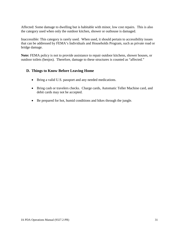Affected: Some damage to dwelling but is habitable with minor, low cost repairs. This is also the category used when only the outdoor kitchen, shower or outhouse is damaged.

Inaccessible: This category is rarely used. When used, it should pertain to accessibility issues that can be addressed by FEMA's Individuals and Households Program, such as private road or bridge damage.

**Note:** FEMA policy is not to provide assistance to repair outdoor kitchens, shower houses, or outdoor toilets (benjos). Therefore, damage to these structures is counted as "affected."

# <span id="page-30-0"></span>**D. Things to Know Before Leaving Home**

- Bring a valid U.S. passport and any needed medications.
- Bring cash or travelers checks. Charge cards, Automatic Teller Machine card, and debit cards may not be accepted.
- Be prepared for hot, humid conditions and hikes through the jungle.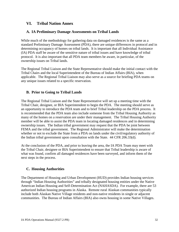# <span id="page-31-0"></span>**VI. Tribal Nation Annex**

#### <span id="page-31-1"></span>**A. IA Preliminary Damage Assessments on Tribal Lands**

While much of the methodology for gathering data on damaged residences is the same as a standard Preliminary Damage Assessment (PDA), there are unique differences in protocol and in determining occupancy of homes on tribal lands. It is important that all Individual Assistance (IA) PDA staff be aware of the sensitive nature of tribal issues and have knowledge of tribal protocol. It is also important that all PDA team members be aware, in particular, of the ownership issues on Tribal lands.

The Regional Tribal Liaison and the State Representative should make the initial contact with the Tribal Chairs and the local Superintendent of the Bureau of Indian Affairs (BIA), when applicable. The Regional Tribal Liaison may also serve as a source for briefing PDA teams on any unique issues related to a specific reservation.

# <span id="page-31-2"></span>**B. Prior to Going to Tribal Lands**

The Regional Tribal Liaison and the State Representative will set up a meeting time with the Tribal Chair, designee, or BIA Superintendent to begin the PDA. The meeting should serve as an opportunity to introduce the PDA team and to brief Tribal leadership on the PDA process. It is recommended that the PDA team also include someone from the Tribal Housing Authority as many of the homes on a reservation are under their management. The Tribal Housing Authority member will be able to assist the PDA team in locating damaged residences and in determining ownership issues. The Indian tribal government may request that the PDA be joint between FEMA and the tribal government. The Regional Administrator will make the determination whether or not to exclude the State from a PDA on lands under the civil/regulatory authority of the Indian tribal government upon consultation with the State. 44 CFR 206.33(d).

At the conclusion of the PDA, and prior to leaving the area, the IA PDA Team may meet with the Tribal Chair, designee or BIA Superintendent to ensure that Tribal leadership is aware of what was found, confirm all damaged residences have been surveyed, and inform them of the next steps in the process.

# <span id="page-31-3"></span>**C. Housing Authorities**

The Department of Housing and Urban Development (HUD) provides Indian housing services through "Indian Housing Authorities" and tribally designated housing entities under the Native American Indian Housing and Self-Determination Act (NAHASDA). For example, there are 53 authorized Indian housing programs in Alaska. Remote rural Alaskan communities typically include both Alaskan Native Village residents and non-native residents in single or adjacent communities. The Bureau of Indian Affairs (BIA) also owns housing in some Native Villages.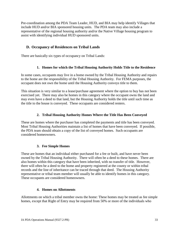Pre-coordination among the PDA Team Leader, HUD, and BIA may help identify Villages that include HUD and/or BIA sponsored housing units. The PDA team may also include a representative of the regional housing authority and/or the Native Village housing program to assist with identifying individual HUD sponsored units.

# <span id="page-32-0"></span>**D. Occupancy of Residences on Tribal Lands**

<span id="page-32-1"></span>There are basically six types of occupancy on Tribal Lands:

#### **1. Homes for which the Tribal Housing Authority Holds Title to the Residence**

In some cases, occupants may live in a home owned by the Tribal Housing Authority and repairs to the home are the responsibility of the Tribal Housing Authority. For FEMA purposes, the occupant does not own the home until the Housing Authority conveys title to them.

This situation is very similar to a lease/purchase agreement where the option to buy has not been exercised yet. There may also be homes in this category where the occupant owns the land and may even have a deed to that land, but the Housing Authority holds the title until such time as the title to the house is conveyed. These occupants are considered renters.

#### **2. Tribal Housing Authority Homes Where the Title Has Been Conveyed**

<span id="page-32-2"></span>These are homes where the purchaser has completed the payments and title has been conveyed. Most Tribal Housing Authorities maintain a list of homes that have been conveyed. If possible, the PDA team should obtain a copy of the list of conveyed homes. Such occupants are considered homeowners.

#### **3. Fee Simple Homes**

<span id="page-32-3"></span>These are homes that an individual either purchased for a fee or built, and have never been owned by the Tribal Housing Authority. There will often be a deed to these homes. There are also homes within this category that have been inherited, with no transfer of title. However, there will often be a deed to the home and property registered at the county or within tribal records and the line of inheritance can be traced through that deed. The Housing Authority representative or tribal team member will usually be able to identify homes in this category. These occupants are considered homeowners.

#### **4. Homes on Allottments**

<span id="page-32-4"></span>Allottments on which a tribal member owns the home: These homes may be treated as fee simple homes, except that Right of Entry may be required from 50% or more of the individuals who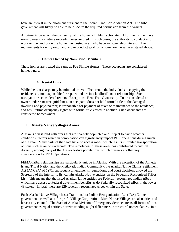have an interest in the allotment pursuant to the Indian Land Consolidation Act. The tribal government will likely be able to help secure the required permission from the owners.

Allottments on which the ownership of the home is highly fractionated: Allottments may have many owners, sometime exceeding one-hundred. In such cases, the authority to conduct any work on the land or on the home may vested in all who have an ownership interest. The requirements for entry onto land and to conduct work on a home are the same as stated above.

#### **5. Homes Owned by Non-Tribal Members**

<span id="page-33-0"></span>These homes are treated the same as Fee Simple Homes. These occupants are considered homeowners.

#### **6. Rental Units**

<span id="page-33-1"></span>While the rent charge may be minimal or even "free-rent," the individuals occupying the residence are not responsible for repairs and are in a landlord/tenant relationship. Such occupants are considered renters. **Exception**: Rent-Free Ownership. To be considered an owner under rent-free guidelines, an occupant: does not hold formal title to the damaged dwelling and pays no rent; is responsible for payment of taxes or maintenance to the residence; and has lifetime occupancy rights with formal title vested in another. Such occupants are considered homeowners.

# <span id="page-33-2"></span>**E. Alaska Native Villages Annex**

Alaska is a vast land with areas that are sparsely populated and subject to harsh weather conditions, factors which in combination can significantly impact PDA operations during much of the year. Many parts of the State have no access roads, which results in limited transportation options such as air or watercraft. The remoteness of these areas has contributed to cultural diversity among many of the Alaska Native populations, which presents another key consideration for PDA Operations.

FEMA-Tribal relationships are particularly unique in Alaska. With the exception of the Annette Island Tribal Nation and the Metlakatla Indian Community, the Alaska Native Claims Settlement Act (ANCSA) of 1971, subsequent amendments, regulations, and court decisions allowed the Secretary of the Interior to list certain Alaska Native entities on the Federally Recognized Tribes List. This means that the listed Alaska Native entities are Federally recognized Indian tribes which have access to Federal government benefits as do Federally recognized tribes in the lower 48 states. In total, there are 229 federally recognized tribes within the State.

Each Alaska Native Village has a Traditional or Indian Reorganization Act (IRA) Council government, as well as a for-profit Village Corporation. Most Native Villages are also cities and have a city council. The State of Alaska Division of Emergency Services treats all forms of local government as equal entities, notwithstanding slight differences in structural nomenclature. In a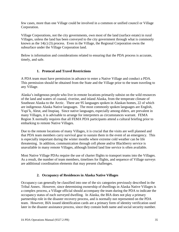few cases, more than one Village could be involved in a common or unified council or Village Corporation.

Village Corporations, not the city governments, own most of the land (surface estate) in rural Villages, unless the land has been conveyed to the city government through what is commonly known as the 14(c) (3) process. Even in the Village, the Regional Corporation owns the subsurface under the Village Corporation land.

Below is information and considerations related to ensuring that the PDA process is accurate, timely, and safe.

# **1. Protocol and Travel Restrictions**

<span id="page-34-0"></span>A PDA team must have permission in advance to enter a Native Village and conduct a PDA. This permission should be obtained from the State and the Village prior to the team traveling to any Village.

Alaska's indigenous people who live in remote locations primarily subsist on the wild resources of the land and waters of coastal, riverine, and inland Alaska, from the temperate climate of Southeast Alaska to the Arctic. There are 95 languages spoken in Alaskan homes, 22 of which are indigenous Alaska Native languages. The most commonly spoken languages are English, Yupi'k, Aleut, and Inupiaq. Since native languages, especially among elders, are prevalent in many Villages, it is advisable to arrange for interpreters as circumstances warrant. FEMA Region X normally requires that all FEMA PDA participants attend a cultural briefing prior to embarking to remote Native Villages.

Due to the remote locations of many Villages, it is crucial that the visits are well planned and that PDA team members carry survival gear to sustain them in the event of an emergency. This is especially important during the winter months where extreme cold weather can be life threatening. In addition, communication through cell phone and/or Blackberry service is unavailable in many remote Villages, although limited land line service is often available.

Most Native Village PDAs require the use of charter flights to transport teams into the Villages. As a result, the number of team members, timelines for flights, and sequence of Village surveys are additional coordination elements that may present challenges.

#### **2. Occupancy of Residences in Alaska Native Villages**

<span id="page-34-1"></span>Occupancy can generally be classified into one of the six categories previously described in the Tribal Annex. However, since determining ownership of dwellings in Alaska Native Villages is a complex process, a Village official should accompany the team during the PDA to indicate the occupancy status of each surveyed dwelling. In Alaska, the BIA does not play a primary partnership role in the disaster recovery process, and is normally not represented on the PDA team. However, BIA issued identification cards are a primary form of identity verification used later in the disaster assistance process, since they contain both name and social security number.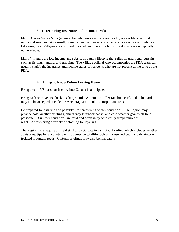#### **3. Determining Insurance and Income Levels**

<span id="page-35-0"></span>Many Alaska Native Villages are extremely remote and are not readily accessible to normal municipal services. As a result, homeowners insurance is often unavailable or cost-prohibitive. Likewise, most Villages are not flood mapped, and therefore NFIP flood insurance is typically not available.

Many Villagers are low income and subsist through a lifestyle that relies on traditional pursuits such as fishing, hunting, and trapping. The Village official who accompanies the PDA team can usually clarify the insurance and income status of residents who are not present at the time of the PDA.

# **4. Things to Know Before Leaving Home**

<span id="page-35-1"></span>Bring a valid US passport if entry into Canada is anticipated.

Bring cash or travelers checks. Charge cards, Automatic Teller Machine card, and debit cards may not be accepted outside the Anchorage/Fairbanks metropolitan areas.

Be prepared for extreme and possibly life-threatening winter conditions. The Region may provide cold weather briefings, emergency kits/back packs, and cold weather gear to all field personnel. Summer conditions are mild and often rainy with chilly temperatures at night. Always bring a variety of clothing for layering.

The Region may require all field staff to participate in a survival briefing which includes weather advisories, tips for encounters with aggressive wildlife such as moose and bear, and driving on isolated mountain roads. Cultural briefings may also be mandatory.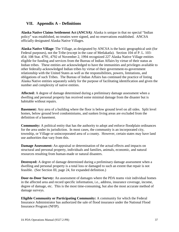# <span id="page-36-0"></span>**VII. Appendix A – Definitions**

**Alaska Native Claims Settlement Act (ANCSA)**: Alaska is unique in that no special "Indian policy" was established, no treaties were signed, and no reservations established. ANCSA officially designated Alaska Native Villages.

**Alaska Native Village**: The Village, as designated by ANCSA is the basic geographical unit (for Federal purposes), not the Tribe (except in the case of Metlakatla). Section 104 of P. L. 103- 454; 108 Stat. 4791, 4792 of November 2, 1994 recognized 227 Alaska Native Village entities eligible for funding and services from the Bureau of Indian Affairs by virtue of their status as Indian tribes. These entities are acknowledged to have the immunities and privileges available to other federally-acknowledged Indian tribes by virtue of their government-to-government relationship with the United States as well as the responsibilities, powers, limitations, and obligations of such Tribes. The Bureau of Indian Affairs has continued the practice of listing Alaska Native entities separately solely for the purpose of facilitating identification and given the number and complexity of native entities.

**Affected:** A degree of damage determined during a preliminary damage assessment when a dwelling and personal property has received some minimal damage from the disaster but is habitable without repairs.

**Basement:** Any area of a building where the floor is below ground level on all sides. Split level homes, below ground level condominiums, and sunken living areas are excluded from the definition of a basement.

**Community:** A political entity that has the authority to adopt and enforce floodplain ordinances for the area under its jurisdiction. In most cases, the community is an incorporated city, township, or Village or unincorporated area of a county. However, certain states may have land use authorities that vary from this.

**Damage Assessment:** An appraisal or determination of the actual effects and impacts on structural and personal property, individuals and families, animals, economic, and natural resources resulting from human-made or natural disasters.

**Destroyed:** A degree of damage determined during a preliminary damage assessment when a dwelling and personal property is a total loss or damaged to such an extent that repair is not feasible. (See Section III, page 24, for expanded definition.)

**Door-to-Door Survey:** An assessment of damages where the PDA teams visit individual homes in the affected area and record specific information, i.e., address, insurance coverage, income, degree of damage, etc. This is the most time-consuming, but also the most accurate method of damage surveys.

**Eligible Community or Participating Community:** A community for which the Federal Insurance Administrator has authorized the sale of flood insurance under the National Flood Insurance Program (NFIP).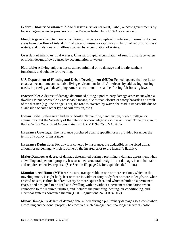**Federal Disaster Assistance:** Aid to disaster survivors or local, Tribal, or State governments by Federal agencies under provisions of the Disaster Relief Act of 1974, as amended.

**Flood:** A general and temporary condition of partial or complete inundation of normally dry land areas from overflow of inland or tidal waters, unusual or rapid accumulation of runoff of surface waters, and mudslides or mudflows caused by accumulation of waters.

**Overflow of inland or tidal waters:** Unusual or rapid accumulation of runoff of surface waters or mudslides/mudflows caused by accumulation of waters.

**Habitable:** A living unit that has sustained minimal or no damage and is safe, sanitary, functional, and suitable for dwelling.

**U.S. Department of Housing and Urban Development (HUD):** Federal agency that works to create a decent home and suitable living environment for all Americans by addressing housing needs, improving and developing American communities, and enforcing fair housing laws.

**Inaccessible:** A degree of damage determined during a preliminary damage assessment when a dwelling is not accessible by reasonable means, due to road closure or safety hazards as a result of the disaster (e.g., the bridge is out, the road is covered by water, the road is impassable due to a landslide or some other type of soil erosion, etc.).

**Indian Tribe:** Refers to an Indian or Alaska Native tribe, band, nation, pueblo, village, or community that the Secretary of the Interior acknowledges to exist as an Indian Tribe pursuant to the *Federally Recognized Indian Tribe List Act of 1994*, 25 U.S.C. 479a.

**Insurance Coverage:** The insurance purchased against specific losses provided for under the terms of a policy of insurance.

**Insurance Deductible:** For any loss covered by insurance, the deductible is the fixed dollar amount or percentage, which is borne by the insured prior to the insurer's liability.

**Major Damage:** A degree of damage determined during a preliminary damage assessment when a dwelling and personal property has sustained structural or significant damage, is uninhabitable and requires extensive repairs. (See Section III, page 24, for expanded definition.)

**Manufactured Home (MH):** A structure, transportable in one or more sections, which in the traveling mode, is eight body feet or more in width or forty body feet or more in length, or, when erected on site, is three hundred twenty or more square feet, and which is built on a permanent chassis and designed to be used as a dwelling with or without a permanent foundation when connected to the required utilities, and includes the plumbing, heating, air conditioning, and electrical systems contained therein (HUD Regulations 24 CFR 3280.2).

**Minor Damage:** A degree of damage determined during a preliminary damage assessment when a dwelling and personal property has received such damage that it no longer serves its basic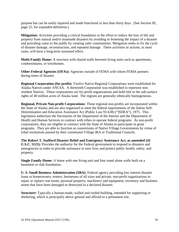purpose but can be easily repaired and made functional in less than thirty days. (See Section III, page 25, for expanded definition.)

**Mitigation:** Activities providing a critical foundation in the effort to reduce the loss of life and property from natural and/or manmade disasters by avoiding or lessening the impact of a disaster and providing value to the public by creating safer communities. Mitigation seeks to fix the cycle of disaster damage, reconstruction, and repeated damage. These activities or actions, in most cases, will have a long-term sustained effect.

**Multi-Family Home:** A structure with shared walls between living units such as apartments, condominiums, or townhomes.

**Other Federal Agencies (OFAs):** Agencies outside of FEMA with whom FEMA partners during times of disaster.

**Regional Corporation (for-profit)**: Twelve Native Regional Corporations were established for Alaska Natives under ANCSA. A thirteenth Corporation was established to represent nonresident Natives. These corporations are for-profit organizations and hold title to the sub-surface rights of 40 million acres of Alaska land. The regions are generally ethnically homogeneous.

**Regional, Private Non-profit Corporations**: These regional non-profits are incorporated within the State of Alaska and are also organized to meet the federal requirements of the Indian Self-Determination and Education Assistance Act (Public Law 93-638) ("ISDEA"), 1975. This legislation authorizes the Secretaries of the Department of the Interior and the Department of Health and Human Services to contract with tribes to operate federal programs. As non-profit corporations, they are eligible to contract with the State of Alaska to participate in grant programs. They are able to function as consortiums of Native Village Governments by virtue of tribal resolutions passed by their constituent Village IRA or Traditional Councils.

**The Robert T. Stafford Disaster Relief and Emergency Assistance Act, as amended (42 U.S.C. 5121):** Provides the authority for the Federal government to respond to disasters and emergencies in order to provide assistance to save lives and protect public health, safety, and property.

**Single Family Home:** A home with one living unit and four stand alone walls built on a basement or slab foundation.

**U. S. Small Business Administration (SBA):** Federal agency providing low interest disaster loans to homeowners, renters, businesses of all sizes and private, non-profit organizations to repair or replace real estate, personal property, machinery and equipment, inventory and business assets that have been damaged or destroyed in a declared disaster.

**Structure:** Typically a human-made, walled and roofed building, intended for supporting or sheltering, which is principally above ground and affixed to a permanent site.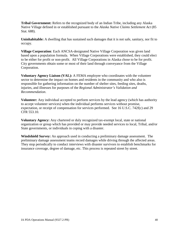**Tribal Government:** Refers to the recognized body of an Indian Tribe, including any Alaska Native Village defined in or established pursuant to the *Alaska Native Claims Settlement Act* (85 Stat. 688).

**Uninhabitable:** A dwelling that has sustained such damages that it is not safe, sanitary, nor fit to occupy.

**Village Corporation**: Each ANCSA-designated Native Village Corporation was given land based upon a population formula. When Village Corporations were established, they could elect to be either for profit or non-profit. All Village Corporations in Alaska chose to be for profit. City governments obtain some or most of their land through conveyance from the Village Corporation.

**Voluntary Agency Liaison (VAL):** A FEMA employee who coordinates with the volunteer sector to determine the impact on homes and residents in the community and who also is responsible for gathering information on the number of shelter sites, feeding sites, deaths, injuries, and illnesses for purposes of the *Regional Administrator's Validation and Recommendation*.

**Volunteer:** Any individual accepted to perform services by the lead agency (which has authority to accept volunteer services) when the individual performs services without promise, expectation, or receipt of compensation for services performed. See 16 U.S.C. 742f(c) and 29 CFR 553.10.

**Voluntary Agency:** Any chartered or duly recognized tax-exempt local, state or national organization or group which has provided or may provide needed services to local, Tribal, and/or State governments, or individuals in coping with a disaster.

**Windshield Survey:** An approach used in conducting a preliminary damage assessment. The preliminary damage assessment teams record damages while driving through the affected areas. They stop periodically to conduct interviews with disaster survivors to establish benchmarks for insurance coverage, degree of damage, etc. This process is repeated street by street.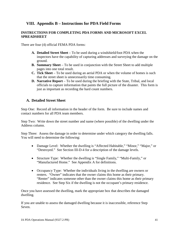# <span id="page-40-0"></span>**VIII. Appendix B – Instructions for PDA Field Forms**

#### **INSTRUCTIONS FOR COMPLETING PDA FORMS AND MICROSOFT EXCEL SPREADSHEET**

There are four (4) official FEMA PDA forms:

- **A. Detailed Street Sheet** To be used during a windshield/foot PDA when the inspectors have the capability of capturing addresses and surveying the damage on the ground.
- **B. Summary Sheet** To be used in conjunction with the Street Sheet to add multiple pages into one total result.
- **C. Tick Sheet** To be used during an aerial PDA or when the volume of homes is such that the street sheet is unnecessarily time consuming.
- **D. Narrative Report** To be used during the briefing with the State, Tribal, and local officials to capture information that paints the full picture of the disaster. This form is just as important as recording the hard count numbers.

#### <span id="page-40-1"></span>**A. Detailed Street Sheet**

Step One: Record all information in the header of the form. Be sure to include names and contact numbers for all PDA team members.

Step Two: Write down the street number and name (where possible) of the dwelling under the Address column.

Step Three: Assess the damage in order to determine under which category the dwelling falls. You will need to determine the following:

- Damage Level: Whether the dwelling is "Affected Habitable," "Minor," "Major," or "Destroyed." See Section III-D-4 for a description of the damage levels.
- Structure Type: Whether the dwelling is "Single Family," "Multi-Family," or "Manufactured Home." See Appendix A for definitions.
- Occupancy Type: Whether the individuals living in the dwelling are owners or renters. "Owner" indicates that the owner claims this home as their primary. "Renter" indicates someone other than the owner claims this home as their primary residence. See Step Six if the dwelling is not the occupant's primary residence.

Once you have assessed the dwelling, mark the appropriate box that describes the damaged dwelling.

If you are unable to assess the damaged dwelling because it is inaccessible, reference Step Seven.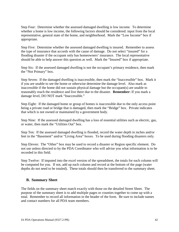Step Four: Determine whether the assessed damaged dwelling is low income. To determine whether a home is low income, the following factors should be considered: input from the local representative, general state of the home, and neighborhood. Mark the "Low Income" box if appropriate.

Step Five: Determine whether the assessed damaged dwelling is insured. Remember to assess the type of insurance that accords with the cause of damage. Do not select "insured" for a flooding disaster if the occupant only has homeowners' insurance. The local representative should be able to help answer this question as well. Mark the "Insured" box if appropriate.

Step Six: If the assessed damaged dwelling is not the occupant's primary residence, then mark the "Not Primary" box.

Step Seven: If the damaged dwelling is inaccessible, then mark the "Inaccessible" box. Mark it if you are unable to see the home or otherwise determine the damage level. Also mark as inaccessible if the home did not sustain physical damage but the occupant(s) are unable to reasonably reach the residence and live there due to the disaster. **Remember:** If you mark a damage level, DO NOT mark "Inaccessible."

Step Eight: If the damaged home or group of homes is inaccessible due to the only access point being a private road or bridge that is damaged, then mark the "Bridge" box. Private indicates that which is not owned or maintained by a government body.

Step Nine: If the assessed damaged dwelling has a loss of essential utilities such as electric, gas, or water, then mark the "Utilities Out" box.

Step Ten: If the assessed damaged dwelling is flooded, record the water depth in inches and/or feet in the "Basement" and/or "Living Area" boxes. To be used during flooding disasters only.

Step Eleven: The "Other" box may be used to record a disaster or Region specific element. Do not use unless directed to by the PDA Coordinator who will advise you what information is to be recorded in this field.

Step Twelve: If imputed into the excel version of the spreadsheet, the totals for each column will be computed for you. If not, add up each column and record at the bottom of the page (water depths do not need to be totaled). These totals should then be transferred to the summary sheet.

# <span id="page-41-0"></span>**B. Summary Sheet**

The fields on the summary sheet match exactly with those on the detailed Street Sheet. The purpose of the summary sheet is to add multiple pages or counties together to come up with a total. Remember to record all information in the header of the form. Be sure to include names and contact numbers for all PDA team members.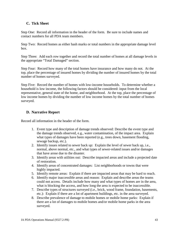# <span id="page-42-0"></span>**C. Tick Sheet**

Step One: Record all information in the header of the form. Be sure to include names and contact numbers for all PDA team members.

Step Two: Record homes as either hash marks or total numbers in the appropriate damage level box.

Step Three: Add each row together and record the total number of homes at all damage levels in the appropriate "Total Damaged" section.

Step Four: Record how many of the total homes have insurance and how many do not. At the top, place the percentage of insured homes by dividing the number of insured homes by the total number of homes surveyed.

Step Five: Record the number of homes with low-income households. To determine whether a household is low income, the following factors should be considered: input from the local representative, general state of the home, and neighborhood. At the top, place the percentage of low income homes by dividing the number of low income homes by the total number of homes surveyed.

# <span id="page-42-1"></span>**D. Narrative Report**

Record all information in the header of the form.

- 1. Event type and description of damage trends observed: Describe the event type and the damage trends observed, e.g., water contamination, of the impact area. Explain what types of damages have been reported (e.g., trees down, basement flooding, sewage backup, etc.).
- 2. Identify issues related to sewer back up: Explain the level of sewer back up, i.e., normal, above normal, etc., and what types of sewer-related issues and/or damages that have arose due to the disaster.
- 3. Identify areas with utilities out: Describe impacted areas and include a projected date of restoration.
- 4. Identify areas of concentrated damages: List neighborhoods or towns that were highly impacted.
- 5. Identify remote areas: Explain if there are impacted areas that may be hard to reach.
- 6. Identify major inaccessible areas and reason: Explain and describe areas the teams could not access. Details include how many and what types of homes are in the area, what is blocking the access, and how long the area is expected to be inaccessible.
- 7. Describe types of structures surveyed (i.e., brick, wood frame, foundation, basements, etc.): Explain if there are a lot of apartment buildings, etc. in the area surveyed.
- 8. Describe prevalence of damage to mobile homes or mobile home parks: Explain if there are a lot of damages to mobile homes and/or mobile home parks in the area surveyed.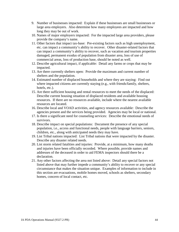- 9. Number of businesses impacted: Explain if these businesses are small businesses or large area employers. Also determine how many employees are impacted and how long they may be out of work.
- 10. Names of major employers impacted: For the impacted large area providers, please provide the company's name.
- 11. Other factors that impact tax-base: Pre-existing factors such as high unemployment, etc. can impact a community's ability to recover. Other disaster-related factors that can impact a community's ability to recover, such as vacation and tourism properties damaged, permanent exodus of population from disaster area, loss of use of commercial areas, loss of production base, should be noted as well.
- 12. Describe agricultural impact, if applicable: Detail any farms or crops that may be impacted.
- 13. Are there currently shelters open: Provide the maximum and current number of shelters and the population.
- 14. Estimated number of displaced households and where they are staying: Find out where impacted citizens are currently staying (e.g., with friends/family, shelters, hotels, etc.).
- 15. Are there sufficient housing and rental resources to meet the needs of the displaced: Describe current housing situation of displaced residents and available housing resources. If there are no resources available, include where the nearest available resources are located.
- 16. Describe local and VOAD activities, and agency resources available: Describe the agencies present and the services being provided. Agencies may be local or national.
- 17. Is there a significant need for counseling services: Describe the emotional needs of survivors.
- 18. Describe impact on special populations: Document the presence of any special population, i.e., access and functional needs, people with language barriers, seniors, children, etc., along with anticipated needs they may have.
- 19. List Tribal nations impacted: List Tribal nations that were impacted by the disaster. Describe any disaster related needs.
- 20. List storm related fatalities and injuries: Provide, at a minimum, how many deaths and injuries have been officially recorded. Where possible, provide names and addresses of the deceased in order to aid FEMA inspectors should there be a declaration.
- 21. Any other factors affecting the area not listed above: Detail any special factors not listed above that may further impede a community's ability to recover or any special circumstance that makes the situation unique. Examples of information to include in this section are evacuations, mobile homes moved, schools as shelters, secondary homes, concern of local contact, etc.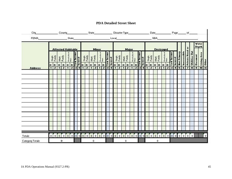| City<br><b>FEMA State</b> State State |                          |                               |                                | County                        |                              |                               |                   |                         | the contract of the contract of |                     | State_       |                     |                     |                     |            |                  | Disaster Type________________ |                |                          |                     |                                                                                                                                                                                                                                                    |                               |                              |                      | Local and the contract of the contract of |                     | SBA                            |                     |                            |                     |                         |                          |                    |             | Page_______ of |                      |                |                       |                |
|---------------------------------------|--------------------------|-------------------------------|--------------------------------|-------------------------------|------------------------------|-------------------------------|-------------------|-------------------------|---------------------------------|---------------------|--------------|---------------------|---------------------|---------------------|------------|------------------|-------------------------------|----------------|--------------------------|---------------------|----------------------------------------------------------------------------------------------------------------------------------------------------------------------------------------------------------------------------------------------------|-------------------------------|------------------------------|----------------------|-------------------------------------------|---------------------|--------------------------------|---------------------|----------------------------|---------------------|-------------------------|--------------------------|--------------------|-------------|----------------|----------------------|----------------|-----------------------|----------------|
|                                       |                          | <b>Affected Habitable</b>     |                                |                               |                              |                               |                   |                         |                                 |                     |              | <b>Minor</b>        |                     |                     |            |                  |                               |                |                          | <b>Major</b>        |                                                                                                                                                                                                                                                    |                               |                              |                      |                                           |                     | <b>Destroyed</b>               |                     |                            |                     |                         |                          |                    |             | õ              |                      |                | Water<br><b>Depth</b> |                |
|                                       | Single                   | Family                        |                                | Multi<br>Family               | Manifestived<br>Man          |                               | <b>Low Income</b> | Insured                 | Single                          | Family              | Multi        | Family              | Hamfordson<br>Ham   |                     | Low Income | bsused           | Single                        | Family         | Multi<br>Family          |                     | $\begin{array}{c} \mathbf{H}_{\mathbf{H}\mathbf{H}}(\mathbf{H}_{\mathbf{H}}) = \mathbf{H}_{\mathbf{H}}(\mathbf{H}_{\mathbf{H}})\\ \mathbf{H}_{\mathbf{H}}(\mathbf{H}_{\mathbf{H}}) = \mathbf{H}_{\mathbf{H}}(\mathbf{H}_{\mathbf{H}}) \end{array}$ |                               | Low Income<br> <br>  Insured |                      | Single                                    | Family              | Multi<br>Family                |                     | Manufactured<br>Name       |                     | Low Income              | Insured                  | <b>Not Primary</b> | laacessible | Private Road   | <b>Utilities Oat</b> | Basement       | Living Area<br>Other  |                |
| <b>Address</b>                        | $\bf{o}$<br>$\mathbf{1}$ | $ {\bf R} $<br>$\overline{2}$ | $\mathbf{o}$<br>$\overline{1}$ | $\mathbf R$<br>$\overline{2}$ | $\mathbf{o}$<br>$\mathbf{I}$ | $\mathbf R$<br>$\overline{2}$ | 3                 | $\overline{\mathbf{4}}$ | $\bullet$<br>$\mathbf{1}$       | R<br>$\overline{2}$ | o            | R<br>$\overline{2}$ | o<br>$\overline{1}$ | R<br>$\overline{2}$ | 3          | $\ddot{\bullet}$ | 0 R                           | $\overline{2}$ | $\bf{o}$<br>$\mathbf{1}$ | R<br>$\overline{2}$ | $\mathbf{0}$                                                                                                                                                                                                                                       | $\mathbf R$<br>$\overline{2}$ | $\overline{\mathbf{3}}$      | $\ddot{\phantom{1}}$ | <b>lo</b>                                 | R<br>$\overline{2}$ | $\mathbf{o}$<br>$\overline{1}$ | R<br>$\overline{2}$ | $\bf{o}$<br>$\overline{1}$ | R<br>$\overline{2}$ | $\overline{\mathbf{3}}$ | $\overline{\phantom{a}}$ | 5                  | 6           | 7              | B.                   | $\overline{3}$ | 10 11                 |                |
|                                       |                          |                               |                                |                               |                              |                               |                   |                         |                                 |                     |              |                     |                     |                     |            |                  |                               |                |                          |                     |                                                                                                                                                                                                                                                    |                               |                              |                      |                                           |                     |                                |                     |                            |                     |                         |                          |                    |             |                |                      |                |                       |                |
|                                       |                          |                               |                                |                               |                              |                               |                   |                         |                                 |                     |              |                     |                     |                     |            |                  |                               |                |                          |                     |                                                                                                                                                                                                                                                    |                               |                              |                      |                                           |                     |                                |                     |                            |                     |                         |                          |                    |             |                |                      |                |                       |                |
|                                       |                          |                               |                                |                               |                              |                               |                   |                         |                                 |                     |              |                     |                     |                     |            |                  |                               |                |                          |                     |                                                                                                                                                                                                                                                    |                               |                              |                      |                                           |                     |                                |                     |                            |                     |                         |                          |                    |             |                |                      |                |                       |                |
|                                       |                          |                               |                                |                               |                              |                               |                   |                         |                                 |                     |              |                     |                     |                     |            |                  |                               |                |                          |                     |                                                                                                                                                                                                                                                    |                               |                              |                      |                                           |                     |                                |                     |                            |                     |                         |                          |                    |             |                |                      |                |                       |                |
|                                       |                          |                               |                                |                               |                              |                               |                   |                         |                                 |                     |              |                     |                     |                     |            |                  |                               |                |                          |                     |                                                                                                                                                                                                                                                    |                               |                              |                      |                                           |                     |                                |                     |                            |                     |                         |                          |                    |             |                |                      |                |                       |                |
|                                       |                          |                               |                                |                               |                              |                               |                   |                         |                                 |                     |              |                     |                     |                     |            |                  |                               |                |                          |                     |                                                                                                                                                                                                                                                    |                               |                              |                      |                                           |                     |                                |                     |                            |                     |                         |                          |                    |             |                |                      |                |                       |                |
|                                       |                          |                               |                                |                               |                              |                               |                   |                         |                                 |                     |              |                     |                     |                     |            |                  |                               |                |                          |                     |                                                                                                                                                                                                                                                    |                               |                              |                      |                                           |                     |                                |                     |                            |                     |                         |                          |                    |             |                |                      |                |                       |                |
|                                       |                          |                               |                                |                               |                              |                               |                   |                         |                                 |                     |              |                     |                     |                     |            |                  |                               |                |                          |                     |                                                                                                                                                                                                                                                    |                               |                              |                      |                                           |                     |                                |                     |                            |                     |                         |                          |                    |             |                |                      |                |                       |                |
|                                       |                          |                               |                                |                               |                              |                               |                   |                         |                                 |                     |              |                     |                     |                     |            |                  |                               |                |                          |                     |                                                                                                                                                                                                                                                    |                               |                              |                      |                                           |                     |                                |                     |                            |                     |                         |                          |                    |             |                |                      |                |                       |                |
|                                       |                          |                               |                                |                               |                              |                               |                   |                         |                                 |                     |              |                     |                     |                     |            |                  |                               |                |                          |                     |                                                                                                                                                                                                                                                    |                               |                              |                      |                                           |                     |                                |                     |                            |                     |                         |                          |                    |             |                |                      |                |                       |                |
|                                       |                          |                               |                                |                               |                              |                               |                   |                         |                                 |                     |              |                     |                     |                     |            |                  |                               |                |                          |                     |                                                                                                                                                                                                                                                    |                               |                              |                      |                                           |                     |                                |                     |                            |                     |                         |                          |                    |             |                |                      |                |                       |                |
| Totals                                |                          | 000                           | $\mathbf{0}$                   | $\mathbf{0}$                  | $\mathbf{0}$                 | 0                             | $\overline{0}$    | $\overline{0}$          | $\mathbf{0}$                    | $\mathbf{0}$        | $\mathbf{0}$ | $\mathbf{0}$        | $\mathbf{0}$        |                     | 000        |                  | 0                             | $\mathbf{0}$   | $\bf{0}$                 | $\overline{0}$      | $\mathbf{0}$                                                                                                                                                                                                                                       |                               |                              |                      | 00000                                     |                     |                                |                     |                            |                     |                         |                          |                    |             | 000000000000   | $\overline{0}$       |                |                       | $\overline{0}$ |

# **PDA Detailed Street Sheet**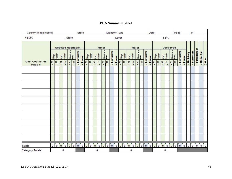# **PDA Summary Sheet**

| County (if applicable) State |              |                |                |                 |                           |                         |                                     |          |                  |                |                 |                      |                |               |                                                   |                  |                         |                | Disaster Type_______________ |                |             |                |                                                                                                                                                                                                                                      |                | Date Page of    |                |                      |                |              |           |               |                |                   |                  |              |
|------------------------------|--------------|----------------|----------------|-----------------|---------------------------|-------------------------|-------------------------------------|----------|------------------|----------------|-----------------|----------------------|----------------|---------------|---------------------------------------------------|------------------|-------------------------|----------------|------------------------------|----------------|-------------|----------------|--------------------------------------------------------------------------------------------------------------------------------------------------------------------------------------------------------------------------------------|----------------|-----------------|----------------|----------------------|----------------|--------------|-----------|---------------|----------------|-------------------|------------------|--------------|
| FEMA State State             |              |                |                |                 |                           |                         |                                     |          |                  |                |                 |                      |                |               |                                                   |                  |                         |                |                              |                |             |                | Local <b>Executive Contract Contract Contract Contract Contract Contract Contract Contract Contract Contract Contract Contract Contract Contract Contract Contract Contract Contract Contract Contract Contract Contract Contrac</b> |                |                 |                | <b>SBA</b>           |                |              |           |               |                |                   |                  |              |
|                              |              |                |                |                 | <b>Affected Habitable</b> |                         |                                     |          |                  |                | <b>Minor</b>    |                      |                |               |                                                   |                  |                         |                | Major                        |                |             |                |                                                                                                                                                                                                                                      |                |                 |                | <b>Destroyed</b>     |                |              |           |               |                |                   |                  |              |
|                              | Single       | Family         |                | Multi<br>Family | Manufactured<br>Home      |                         | Jow Income<br>A Insured<br>A Cincia |          | Single<br>Family |                | Multi<br>Family | Manufactured<br>Home |                | co Low Income | 4<br>1<br>1<br>1<br>1<br>Since<br>1<br>Since<br>1 | Single<br>Family | Multi<br>Family         |                | Manufactured<br>Home         |                | wincome     | <b>Insured</b> | Single<br>Family                                                                                                                                                                                                                     |                | Multi<br>Family |                | Manufactured<br>Home |                | u Low Income | A Insured | o Not Primary | o Inaccessible | ~ Private Road or | co Utilities Out |              |
| City, County, or             | o            | R              | $\circ$        | $\mathbf{R}$    | $\circ$                   | $\overline{\mathsf{R}}$ |                                     |          | R                | OR             |                 | OR                   |                |               |                                                   | R                | $\overline{\mathbf{Q}}$ | $\mathsf{R}$   | $\overline{\mathbf{0}}$      | $\mathbf{R}$   |             |                |                                                                                                                                                                                                                                      | R              | OR              |                | $\circ$              | $\vert$ R      |              |           |               |                |                   |                  | Other        |
| Page #                       | $\mathbf{1}$ | $\overline{2}$ | $\overline{1}$ | $\overline{2}$  | $\overline{1}$            | $\overline{2}$          |                                     |          | $\overline{2}$   | $\overline{1}$ | $\overline{2}$  | $\vert$ 1            | $\overline{2}$ |               |                                                   | $\overline{2}$   | $\overline{1}$          | $\overline{2}$ | $\overline{1}$               | $\overline{2}$ |             | $\overline{4}$ | $\mathbf{1}$                                                                                                                                                                                                                         | $\overline{2}$ | $\mathbf{1}$    | $\overline{2}$ | $\overline{1}$       | $\overline{2}$ |              |           |               |                |                   |                  | 11           |
|                              |              |                |                |                 |                           |                         |                                     |          |                  |                |                 |                      |                |               |                                                   |                  |                         |                |                              |                |             |                |                                                                                                                                                                                                                                      |                |                 |                |                      |                |              |           |               |                |                   |                  |              |
|                              |              |                |                |                 |                           |                         |                                     |          |                  |                |                 |                      |                |               |                                                   |                  |                         |                |                              |                |             |                |                                                                                                                                                                                                                                      |                |                 |                |                      |                |              |           |               |                |                   |                  |              |
|                              |              |                |                |                 |                           |                         |                                     |          |                  |                |                 |                      |                |               |                                                   |                  |                         |                |                              |                |             |                |                                                                                                                                                                                                                                      |                |                 |                |                      |                |              |           |               |                |                   |                  |              |
|                              |              |                |                |                 |                           |                         |                                     |          |                  |                |                 |                      |                |               |                                                   |                  |                         |                |                              |                |             |                |                                                                                                                                                                                                                                      |                |                 |                |                      |                |              |           |               |                |                   |                  |              |
|                              |              |                |                |                 |                           |                         |                                     |          |                  |                |                 |                      |                |               |                                                   |                  |                         |                |                              |                |             |                |                                                                                                                                                                                                                                      |                |                 |                |                      |                |              |           |               |                |                   |                  |              |
|                              |              |                |                |                 |                           |                         |                                     |          |                  |                |                 |                      |                |               |                                                   |                  |                         |                |                              |                |             |                |                                                                                                                                                                                                                                      |                |                 |                |                      |                |              |           |               |                |                   |                  |              |
|                              |              |                |                |                 |                           |                         |                                     |          |                  |                |                 |                      |                |               |                                                   |                  |                         |                |                              |                |             |                |                                                                                                                                                                                                                                      |                |                 |                |                      |                |              |           |               |                |                   |                  |              |
|                              |              |                |                |                 |                           |                         |                                     |          |                  |                |                 |                      |                |               |                                                   |                  |                         |                |                              |                |             |                |                                                                                                                                                                                                                                      |                |                 |                |                      |                |              |           |               |                |                   |                  |              |
|                              |              |                |                |                 |                           |                         |                                     |          |                  |                |                 |                      |                |               |                                                   |                  |                         |                |                              |                |             |                |                                                                                                                                                                                                                                      |                |                 |                |                      |                |              |           |               |                |                   |                  |              |
|                              |              |                |                |                 |                           |                         |                                     |          |                  |                |                 |                      |                |               |                                                   |                  |                         |                |                              |                |             |                |                                                                                                                                                                                                                                      |                |                 |                |                      |                |              |           |               |                |                   |                  |              |
|                              |              |                |                |                 |                           |                         |                                     |          |                  |                |                 |                      |                |               |                                                   |                  |                         |                |                              |                |             |                |                                                                                                                                                                                                                                      |                |                 |                |                      |                |              |           |               |                |                   |                  |              |
|                              |              |                |                |                 |                           |                         |                                     |          |                  |                |                 |                      |                |               |                                                   |                  |                         |                |                              |                |             |                |                                                                                                                                                                                                                                      |                |                 |                |                      |                |              |           |               |                |                   |                  |              |
|                              |              |                |                |                 |                           |                         |                                     |          |                  |                |                 |                      |                |               |                                                   |                  |                         |                |                              |                |             |                |                                                                                                                                                                                                                                      |                |                 |                |                      |                |              |           |               |                |                   |                  |              |
|                              |              |                |                |                 |                           |                         |                                     |          |                  |                |                 |                      |                |               |                                                   |                  |                         |                |                              |                |             |                |                                                                                                                                                                                                                                      |                |                 |                |                      |                |              |           |               |                |                   |                  |              |
|                              |              |                |                |                 |                           |                         |                                     |          |                  |                |                 |                      |                |               |                                                   |                  |                         |                |                              |                |             |                |                                                                                                                                                                                                                                      |                |                 |                |                      |                |              |           |               |                |                   |                  |              |
|                              |              |                |                |                 |                           |                         |                                     |          |                  |                |                 |                      |                |               |                                                   |                  |                         |                |                              |                |             |                |                                                                                                                                                                                                                                      |                |                 |                |                      |                |              |           |               |                |                   |                  |              |
|                              |              |                |                |                 |                           |                         |                                     |          |                  |                |                 |                      |                |               |                                                   |                  |                         |                |                              |                |             |                |                                                                                                                                                                                                                                      |                |                 |                |                      |                |              |           |               |                |                   |                  |              |
|                              |              |                |                |                 |                           |                         |                                     |          |                  |                |                 |                      |                |               |                                                   |                  |                         |                |                              |                |             |                |                                                                                                                                                                                                                                      |                |                 |                |                      |                |              |           |               |                |                   |                  |              |
|                              |              |                |                |                 |                           |                         |                                     |          |                  |                |                 |                      |                |               |                                                   |                  |                         |                |                              |                |             |                |                                                                                                                                                                                                                                      |                |                 |                |                      |                |              |           |               |                |                   |                  |              |
| Totals                       | $\mathbf{0}$ | $\bf{0}$       | $\circ$        | $\overline{0}$  | $\circ$                   | $\overline{0}$          | 00                                  | $\bf{0}$ | $\overline{0}$   | 0              | $\circ$         | $\vert 0 \vert$      | $\mathbf{0}$   |               | 0 0 0                                             | (0,1)            | 000                     |                | $\mathbf{0}$                 | $\overline{0}$ | $\mathbf 0$ |                | 0 0                                                                                                                                                                                                                                  | $\mathbf{0}$   | 00              |                | $\mathbf{0}$         |                | $0$ 0        | $\circ$   | $\circ$       | $\mathbf{0}$   |                   | 00               | $\mathbf{0}$ |
| <b>Category Totals</b>       |              |                |                | $\mathbf{0}$    |                           |                         |                                     |          |                  |                | 0               |                      |                |               |                                                   |                  |                         | $^{\circ}$     |                              |                |             |                |                                                                                                                                                                                                                                      |                | $\mathbf 0$     |                |                      |                |              |           |               |                |                   |                  |              |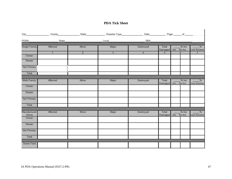#### **PDA Tick Sheet**

| City_                | County State   |                | Disaster Type  | Date and the state of the state of the state of the state of the state of the state of the state of the state |                  | Page of                   |                             |
|----------------------|----------------|----------------|----------------|---------------------------------------------------------------------------------------------------------------|------------------|---------------------------|-----------------------------|
| <b>FEMA</b>          | State          |                | Local          | <b>SBA</b>                                                                                                    |                  |                           |                             |
| Single Family        | Affected       | Minor          | Major          | Destroyed                                                                                                     | Total<br>Damaged | $%$ Ins<br>No Ins<br>Ins  | $\frac{9}{6}$<br>Low Income |
|                      | $\overline{1}$ | $\overline{2}$ | $\overline{3}$ | $\overline{4}$                                                                                                | $\overline{5}$   | 6                         | $\overline{I}$              |
| Owner                |                |                |                |                                                                                                               |                  |                           |                             |
| Renter               |                |                |                |                                                                                                               |                  |                           |                             |
| Not Primary          |                |                |                |                                                                                                               |                  |                           |                             |
| Total                |                |                |                |                                                                                                               |                  |                           |                             |
| Multi-Family         | Affected       | Minor          | Major          | Destroyed                                                                                                     | Total<br>Damagod | $%$ Ins<br>No Inc<br>Inc  | $\frac{9}{6}$<br>Low Income |
| Owner                |                |                |                |                                                                                                               |                  |                           |                             |
| Renter               |                |                |                |                                                                                                               |                  |                           |                             |
| Not Primary          |                |                |                |                                                                                                               |                  |                           |                             |
| Total                |                |                |                |                                                                                                               |                  |                           |                             |
| Manufactured<br>Home | Affected       | Minor          | Major          | Destroyed                                                                                                     | Total<br>Damaged | $%$ Ins<br>ln s<br>No Ins | $\frac{9}{6}$<br>Low Income |
| Owner                |                |                |                |                                                                                                               |                  |                           |                             |
| Renter               |                |                |                |                                                                                                               |                  |                           |                             |
| Not Primary          |                |                |                |                                                                                                               |                  |                           |                             |
| Total                |                |                |                |                                                                                                               |                  |                           |                             |
| <b>Grand Total</b>   |                |                |                |                                                                                                               |                  |                           |                             |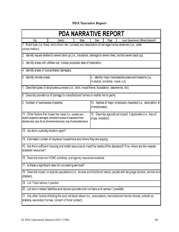# **PDA Narrative Report**

| <b>PDA NARRATIVE REPORT</b>                |                                                                                                                                                                                                            |       |                    |                                  |                                                                                                                           |  |  |  |  |  |  |  |
|--------------------------------------------|------------------------------------------------------------------------------------------------------------------------------------------------------------------------------------------------------------|-------|--------------------|----------------------------------|---------------------------------------------------------------------------------------------------------------------------|--|--|--|--|--|--|--|
| City                                       | County                                                                                                                                                                                                     | State | Date               | Page                             | Local Government Official/Contact #                                                                                       |  |  |  |  |  |  |  |
| contamination).                            | 1. Event type (i.e. flood, wind driven rain, tornado) and description of damage trends observed (i.e., water                                                                                               |       |                    |                                  |                                                                                                                           |  |  |  |  |  |  |  |
|                                            |                                                                                                                                                                                                            |       |                    |                                  | 2. Identify issues related to sewer back up (i.e., insurance, damage to sewer lines, normal sewer back up).               |  |  |  |  |  |  |  |
|                                            | 3. Identify areas with utilities out; include projected date of restoration.                                                                                                                               |       |                    |                                  |                                                                                                                           |  |  |  |  |  |  |  |
| 4. Identify areas of concentrated damages. |                                                                                                                                                                                                            |       |                    |                                  |                                                                                                                           |  |  |  |  |  |  |  |
| 5. Identify remote areas.                  |                                                                                                                                                                                                            |       |                    | mudslide, landslide, roads out). | 6. Identify major inaccessible areas and reasons (i.e.,                                                                   |  |  |  |  |  |  |  |
|                                            | 7. Describe types of structures surveyed (i.e., brick, wood frame, foundation, basements, etc).                                                                                                            |       |                    |                                  |                                                                                                                           |  |  |  |  |  |  |  |
|                                            | 8. Describe prevalence of damage to manufactured homes or mobile home parks.                                                                                                                               |       |                    |                                  |                                                                                                                           |  |  |  |  |  |  |  |
| 9. Number of businesses impacted.          |                                                                                                                                                                                                            |       | of employees).     |                                  | 10. Names of major employers impacted (i.e., description, #                                                               |  |  |  |  |  |  |  |
|                                            | 11. Other factors that impact tax-base (i.e., vacation and<br>tourism properties damaged, permanent exodus of population from<br>disaster area, loss of use of commercial areas, loss of production base). |       | crops, livestock). |                                  | 12. Describe agricultural impact, if applicable (i.e., loss of                                                            |  |  |  |  |  |  |  |
| 13. Are there currently shelters open?     |                                                                                                                                                                                                            |       |                    |                                  |                                                                                                                           |  |  |  |  |  |  |  |
|                                            | 14. Estimated number of displaced households and where they are staying.                                                                                                                                   |       |                    |                                  |                                                                                                                           |  |  |  |  |  |  |  |
| available resources?                       |                                                                                                                                                                                                            |       |                    |                                  | 15. Are there sufficient housing and rental resources to meet the needs of the displaced? If no, where are the nearest    |  |  |  |  |  |  |  |
|                                            | 16. Describe local and VOAD activities, and agency resources available.                                                                                                                                    |       |                    |                                  |                                                                                                                           |  |  |  |  |  |  |  |
|                                            | 17. Is there a significant need for counseling services?                                                                                                                                                   |       |                    |                                  |                                                                                                                           |  |  |  |  |  |  |  |
| children).                                 |                                                                                                                                                                                                            |       |                    |                                  | 18. Describe impact on special populations (i.e., access and functional needs, people with language barriers, seniors and |  |  |  |  |  |  |  |
| 19. List Tribal nations impacted.          |                                                                                                                                                                                                            |       |                    |                                  |                                                                                                                           |  |  |  |  |  |  |  |
|                                            | 20. List storm related fatalities and injuries (provide total numbers and names if possible).                                                                                                              |       |                    |                                  |                                                                                                                           |  |  |  |  |  |  |  |
|                                            | shelters, secondary homes, concern of local contact).                                                                                                                                                      |       |                    |                                  | 21. Any other factors affecting the area not listed above (i.e., evacuations, manufactured homes moved, schools as        |  |  |  |  |  |  |  |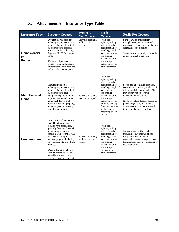# <span id="page-48-0"></span>**IX. Attachment A – Insurance Type Table**

| <b>Insurance Type</b>                      | <b>Property Covered</b>                                                                                                                                                                                                                                                                                                                                                                                                     | <b>Property</b><br><b>Not Covered</b>              | <b>Perils</b><br><b>Covered</b>                                                                                                                                                                                                                                                                     | <b>Perils Not Covered</b>                                                                                                                                                                                                                                                                                                          |
|--------------------------------------------|-----------------------------------------------------------------------------------------------------------------------------------------------------------------------------------------------------------------------------------------------------------------------------------------------------------------------------------------------------------------------------------------------------------------------------|----------------------------------------------------|-----------------------------------------------------------------------------------------------------------------------------------------------------------------------------------------------------------------------------------------------------------------------------------------------------|------------------------------------------------------------------------------------------------------------------------------------------------------------------------------------------------------------------------------------------------------------------------------------------------------------------------------------|
| <b>Home owners</b><br>or<br><b>Renters</b> | Owners: all real property,<br>including separate structures;<br>removal of debris deposited<br>by covered peril; personal<br>property, Additional Living<br>Expenses (ALE) for covered<br>perils.<br><b>Renters:</b> all personal<br>property, including personal<br>property away from premises<br>and ALE for covered perils.                                                                                             | Seawalls; retaining<br>walls; washouts<br>(access) | Wind: hail:<br>lightning; falling<br>objects including<br>trees; freezing of<br>plumbing; weight of<br>ice, snow, or sleet;<br>fire; smoke;<br>volcanic eruption;<br>power surge;<br>explosion; riot or<br>civil disturbance                                                                        | Surface waters or flood; rain<br>through doors, windows, or bad<br>roof; seepage; landslides; mudslides;<br>earthquake; sewer backup<br>Sewer back up is usually covered in<br>an endorsement to the policy                                                                                                                        |
| <b>Manufactured</b><br>Home                | Manufactured home,<br>including separate structures;<br>removal of debris deposited<br>by covered peril; cost of<br>emergency repairs or removal<br>to protect the manufactured<br>home; ALE for covered<br>perils; All personal property,<br>including personal property<br>away from premises                                                                                                                             | Seawalls: washouts<br>(outside damages)            | Wind; hail;<br>lightning; falling<br>objects including<br>trees; freezing of<br>plumbing; weight of<br>ice, snow, or sleet;<br>fire; smoke;<br>volcanic eruption;<br>power surge;<br>explosion; riot or<br>civil disturbance;<br>Flood may or may<br>not be covered<br>depending on the<br>contract | Sewer backup; leakage from rain,<br>snow, or sleet; freezing or electrical<br>failure, mudslide, earthquake; Flood<br>may or may not be covered<br>depending on the contract<br>Electrical failure does not pertain to<br>power surges, only to situations<br>where electrical service stops and<br>there is no damage to the home |
| Condominium                                | Unit: Structural elements not<br>shared by other tenants or<br>owned by the association,<br>generally from the sheetrock<br>in, including sheetrock,<br>paneling, wall covering; ALE<br>for covered perils; All<br>personal property, including<br>personal property away from<br>premises<br><b>Master:</b> Structural elements<br>shared by other tenants or<br>owned by the association,<br>generally from the studs out | Seawalls; retaining<br>walls; washouts<br>(access) | Wind; hail;<br>lightning; falling<br>objects including<br>trees; freezing of<br>plumbing; weight of<br>ice, snow, or sleet;<br>fire; smoke;<br>volcanic eruption;<br>power surge<br>explosion; riot or<br>civil disturbance                                                                         | Surface waters or flood: rain<br>through doors, windows, or bad<br>roof; landslides; mudslides;<br>earthquake; sewer backup; leakage<br>from rain, snow, or sleet; freezing or<br>electrical failure                                                                                                                               |